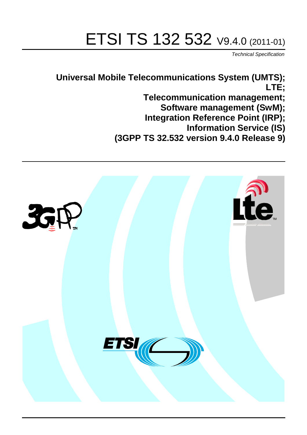# ETSI TS 132 532 V9.4.0 (2011-01)

*Technical Specification*

**Universal Mobile Telecommunications System (UMTS); LTE; Telecommunication management; Software management (SwM); Integration Reference Point (IRP); Information Service (IS) (3GPP TS 32.532 version 9.4.0 Release 9)**

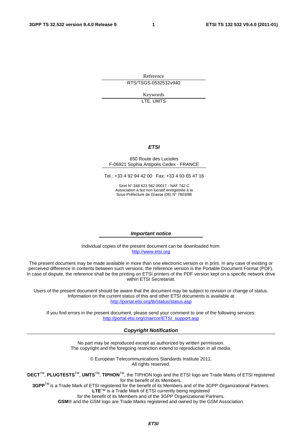Reference RTS/TSGS-0532532v940

> Keywords LTE, UMTS

#### *ETSI*

#### 650 Route des Lucioles F-06921 Sophia Antipolis Cedex - FRANCE

Tel.: +33 4 92 94 42 00 Fax: +33 4 93 65 47 16

Siret N° 348 623 562 00017 - NAF 742 C Association à but non lucratif enregistrée à la Sous-Préfecture de Grasse (06) N° 7803/88

#### *Important notice*

Individual copies of the present document can be downloaded from: [http://www.etsi.org](http://www.etsi.org/)

The present document may be made available in more than one electronic version or in print. In any case of existing or perceived difference in contents between such versions, the reference version is the Portable Document Format (PDF). In case of dispute, the reference shall be the printing on ETSI printers of the PDF version kept on a specific network drive within ETSI Secretariat.

Users of the present document should be aware that the document may be subject to revision or change of status. Information on the current status of this and other ETSI documents is available at <http://portal.etsi.org/tb/status/status.asp>

If you find errors in the present document, please send your comment to one of the following services: [http://portal.etsi.org/chaircor/ETSI\\_support.asp](http://portal.etsi.org/chaircor/ETSI_support.asp)

#### *Copyright Notification*

No part may be reproduced except as authorized by written permission. The copyright and the foregoing restriction extend to reproduction in all media.

> © European Telecommunications Standards Institute 2011. All rights reserved.

**DECT**TM, **PLUGTESTS**TM, **UMTS**TM, **TIPHON**TM, the TIPHON logo and the ETSI logo are Trade Marks of ETSI registered for the benefit of its Members.

**3GPP**TM is a Trade Mark of ETSI registered for the benefit of its Members and of the 3GPP Organizational Partners. **LTE**™ is a Trade Mark of ETSI currently being registered

for the benefit of its Members and of the 3GPP Organizational Partners.

**GSM**® and the GSM logo are Trade Marks registered and owned by the GSM Association.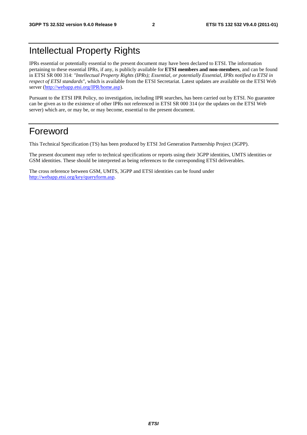### Intellectual Property Rights

IPRs essential or potentially essential to the present document may have been declared to ETSI. The information pertaining to these essential IPRs, if any, is publicly available for **ETSI members and non-members**, and can be found in ETSI SR 000 314: *"Intellectual Property Rights (IPRs); Essential, or potentially Essential, IPRs notified to ETSI in respect of ETSI standards"*, which is available from the ETSI Secretariat. Latest updates are available on the ETSI Web server ([http://webapp.etsi.org/IPR/home.asp\)](http://webapp.etsi.org/IPR/home.asp).

Pursuant to the ETSI IPR Policy, no investigation, including IPR searches, has been carried out by ETSI. No guarantee can be given as to the existence of other IPRs not referenced in ETSI SR 000 314 (or the updates on the ETSI Web server) which are, or may be, or may become, essential to the present document.

### Foreword

This Technical Specification (TS) has been produced by ETSI 3rd Generation Partnership Project (3GPP).

The present document may refer to technical specifications or reports using their 3GPP identities, UMTS identities or GSM identities. These should be interpreted as being references to the corresponding ETSI deliverables.

The cross reference between GSM, UMTS, 3GPP and ETSI identities can be found under [http://webapp.etsi.org/key/queryform.asp.](http://webapp.etsi.org/key/queryform.asp)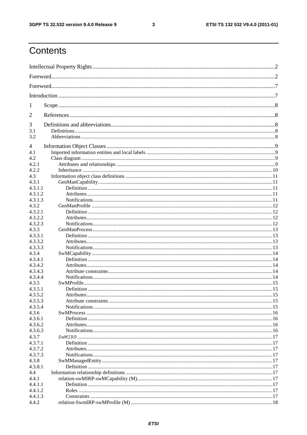#### $\mathbf{3}$

## Contents

| 1              |  |
|----------------|--|
| 2              |  |
| 3              |  |
| 3.1<br>3.2     |  |
| $\overline{4}$ |  |
| 4.1            |  |
| 4.2            |  |
| 4.2.1          |  |
| 4.2.2          |  |
| 4.3            |  |
| 4.3.1          |  |
| 4.3.1.1        |  |
| 4.3.1.2        |  |
| 4.3.1.3        |  |
| 4.3.2          |  |
| 4.3.2.1        |  |
| 4.3.2.2        |  |
| 4.3.2.3        |  |
| 4.3.3          |  |
| 4.3.3.1        |  |
| 4.3.3.2        |  |
| 4.3.3.3        |  |
| 4.3.4          |  |
| 4.3.4.1        |  |
| 4.3.4.2        |  |
| 4.3.4.3        |  |
| 4.3.4.4        |  |
| 4.3.5          |  |
| 4.3.5.1        |  |
| 4.3.5.2        |  |
| 4.3.5.3        |  |
| 4.3.5.4        |  |
| 4.3.6          |  |
| 4.3.6.1        |  |
| 4.3.6.2        |  |
| 4.3.6.3        |  |
|                |  |
| 4.3.7          |  |
| 4.3.7.1        |  |
| 4.3.7.2        |  |
| 4.3.7.3        |  |
| 4.3.8          |  |
| 4.3.8.1        |  |
| 4.4            |  |
| 4.4.1          |  |
| 4.4.1.1        |  |
| 4.4.1.2        |  |
| 4.4.1.3        |  |
| 4.4.2          |  |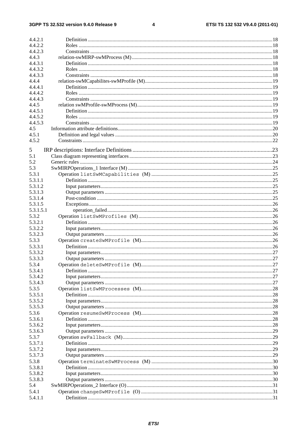#### $\overline{\mathbf{4}}$

| 4.4.2.1          |    |
|------------------|----|
| 4.4.2.2          |    |
| 4.4.2.3          |    |
| 4.4.3            |    |
| 4.4.3.1          |    |
| 4.4.3.2          |    |
|                  |    |
| 4.4.3.3          |    |
| 4.4.4            |    |
| 4.4.4.1          |    |
| 4.4.4.2          |    |
| 4.4.4.3          |    |
|                  |    |
| 4.4.5            |    |
| 4.4.5.1          |    |
| 4.4.5.2          |    |
| 4.4.5.3          |    |
| 4.5              |    |
| 4.5.1            |    |
| 4.5.2            |    |
|                  |    |
| 5                |    |
|                  |    |
| 5.1              |    |
| 5.2              |    |
| 5.3              |    |
| 5.3.1            |    |
| 5.3.1.1          |    |
|                  |    |
| 5.3.1.2          |    |
| 5.3.1.3          |    |
| 5.3.1.4          |    |
| 5.3.1.5          |    |
| 5.3.1.5.1        |    |
| 5.3.2            |    |
|                  |    |
| 5.3.2.1          |    |
| 5.3.2.2          |    |
| 5.3.2.3          |    |
| 5.3.3            |    |
| 5.3.3.1          |    |
|                  |    |
| 5.3.3.2          |    |
| 5.3.3.3          |    |
| 5.3.4            |    |
| 5.3.4.1          |    |
| 5.3.4.2          |    |
| 5.3.4.3          |    |
|                  |    |
| 5.3.5            |    |
| 5.3.5.1          |    |
| 5.3.5.2          |    |
| 5.3.5.3          |    |
| 5.3.6            |    |
|                  |    |
| 5.3.6.1          |    |
| 5.3.6.2          |    |
| 5.3.6.3          |    |
| 5.3.7            |    |
| 5.3.7.1          |    |
| 5.3.7.2          |    |
|                  |    |
| 5.3.7.3          |    |
| 5.3.8            |    |
| 5.3.8.1          |    |
| 5.3.8.2          |    |
| 5.3.8.3          | 30 |
| 5.4              |    |
|                  |    |
|                  |    |
| 5.4.1<br>5.4.1.1 |    |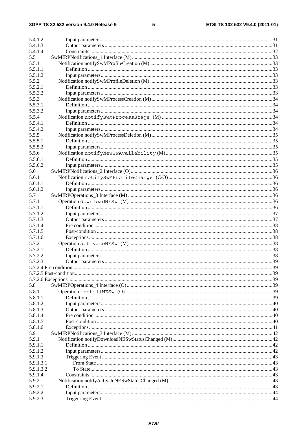#### $5\phantom{a}$

| 5.4.1.2   |  |
|-----------|--|
| 5.4.1.3   |  |
| 5.4.1.4   |  |
| 5.5       |  |
| 5.5.1     |  |
| 5.5.1.1   |  |
| 5.5.1.2   |  |
| 5.5.2     |  |
| 5.5.2.1   |  |
| 5.5.2.2   |  |
| 5.5.3     |  |
| 5.5.3.1   |  |
| 5.5.3.2   |  |
| 5.5.4     |  |
| 5.5.4.1   |  |
| 5.5.4.2   |  |
| 5.5.5     |  |
| 5.5.5.1   |  |
| 5.5.5.2   |  |
| 5.5.6     |  |
| 5.5.6.1   |  |
| 5.5.6.2   |  |
| 5.6       |  |
| 5.6.1     |  |
| 5.6.1.1   |  |
| 5.6.1.2   |  |
| 5.7       |  |
| 5.7.1     |  |
| 5.7.1.1   |  |
| 5.7.1.2   |  |
| 5.7.1.3   |  |
| 5.7.1.4   |  |
| 5.7.1.5   |  |
| 5.7.1.6   |  |
| 5.7.2     |  |
| 5.7.2.1   |  |
| 5.7.2.2   |  |
| 5.7.2.3   |  |
|           |  |
|           |  |
|           |  |
| 5.8       |  |
| 5.8.1     |  |
| 5.8.1.1   |  |
| 5.8.1.2   |  |
| 5.8.1.3   |  |
| 5.8.1.4   |  |
| 5.8.1.5   |  |
| 5.8.1.6   |  |
| 5.9       |  |
| 5.9.1     |  |
| 5.9.1.1   |  |
| 5.9.1.2   |  |
| 5.9.1.3   |  |
| 5.9.1.3.1 |  |
| 5.9.1.3.2 |  |
| 5.9.1.4   |  |
| 5.9.2     |  |
| 5.9.2.1   |  |
| 5.9.2.2   |  |
| 5.9.2.3   |  |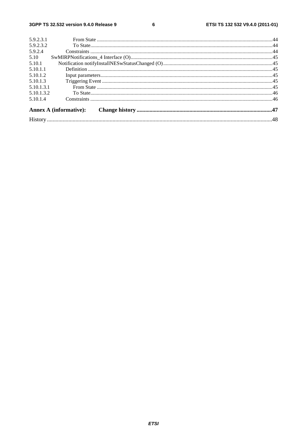#### $\bf 6$

| 5.9.2.3.1  |                               |  |
|------------|-------------------------------|--|
| 5.9.2.3.2  |                               |  |
| 5.9.2.4    |                               |  |
| 5.10       |                               |  |
| 5.10.1     |                               |  |
| 5.10.1.1   |                               |  |
| 5.10.1.2   |                               |  |
| 5.10.1.3   |                               |  |
| 5.10.1.3.1 |                               |  |
| 5.10.1.3.2 |                               |  |
| 5.10.1.4   |                               |  |
|            | <b>Annex A (informative):</b> |  |
|            |                               |  |
|            |                               |  |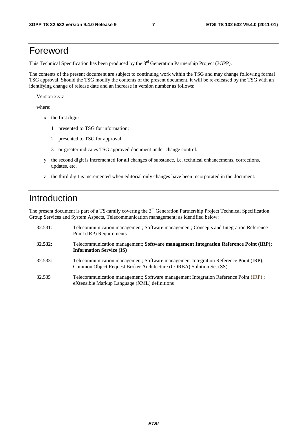### Foreword

This Technical Specification has been produced by the 3<sup>rd</sup> Generation Partnership Project (3GPP).

The contents of the present document are subject to continuing work within the TSG and may change following formal TSG approval. Should the TSG modify the contents of the present document, it will be re-released by the TSG with an identifying change of release date and an increase in version number as follows:

Version x.y.z

where:

- x the first digit:
	- 1 presented to TSG for information;
	- 2 presented to TSG for approval;
	- 3 or greater indicates TSG approved document under change control.
- y the second digit is incremented for all changes of substance, i.e. technical enhancements, corrections, updates, etc.
- z the third digit is incremented when editorial only changes have been incorporated in the document.

### Introduction

The present document is part of a TS-family covering the 3<sup>rd</sup> Generation Partnership Project Technical Specification Group Services and System Aspects, Telecommunication management; as identified below:

| 32.531: | Telecommunication management; Software management; Concepts and Integration Reference<br>Point (IRP) Requirements                                           |
|---------|-------------------------------------------------------------------------------------------------------------------------------------------------------------|
| 32.532: | Telecommunication management; Software management Integration Reference Point (IRP);<br><b>Information Service (IS)</b>                                     |
| 32.533: | Telecommunication management; Software management Integration Reference Point (IRP);<br>Common Object Request Broker Architecture (CORBA) Solution Set (SS) |
| 32.535  | Telecommunication management; Software management Integration Reference Point (IRP);<br>eXtensible Markup Language (XML) definitions                        |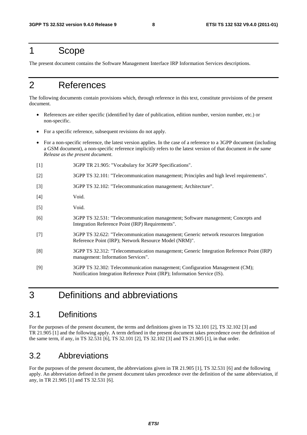### 1 Scope

The present document contains the Software Management Interface IRP Information Services descriptions.

### 2 References

The following documents contain provisions which, through reference in this text, constitute provisions of the present document.

- References are either specific (identified by date of publication, edition number, version number, etc.) or non-specific.
- For a specific reference, subsequent revisions do not apply.
- For a non-specific reference, the latest version applies. In the case of a reference to a 3GPP document (including a GSM document), a non-specific reference implicitly refers to the latest version of that document *in the same Release as the present document*.
- [1] 3GPP TR 21.905: "Vocabulary for 3GPP Specifications".
- [2] 3GPP TS 32.101: "Telecommunication management; Principles and high level requirements".
- [3] 3GPP TS 32.102: "Telecommunication management; Architecture".
- [4] Void.
- [5] Void.
- [6] 3GPP TS 32.531: "Telecommunication management; Software management; Concepts and Integration Reference Point (IRP) Requirements".
- [7] 3GPP TS 32.622: "Telecommunication management; Generic network resources Integration Reference Point (IRP); Network Resource Model (NRM)".
- [8] 3GPP TS 32.312: "Telecommunication management; Generic Integration Reference Point (IRP) management: Information Services".
- [9] 3GPP TS 32.302: Telecommunication management; Configuration Management (CM); Notification Integration Reference Point (IRP); Information Service (IS).

### 3 Definitions and abbreviations

### 3.1 Definitions

For the purposes of the present document, the terms and definitions given in TS 32.101 [2], TS 32.102 [3] and TR 21.905 [1] and the following apply. A term defined in the present document takes precedence over the definition of the same term, if any, in TS 32.531 [6], TS 32.101 [2], TS 32.102 [3] and TS 21.905 [1], in that order.

### 3.2 Abbreviations

For the purposes of the present document, the abbreviations given in TR 21.905 [1], TS 32.531 [6] and the following apply. An abbreviation defined in the present document takes precedence over the definition of the same abbreviation, if any, in TR 21.905 [1] and TS 32.531 [6].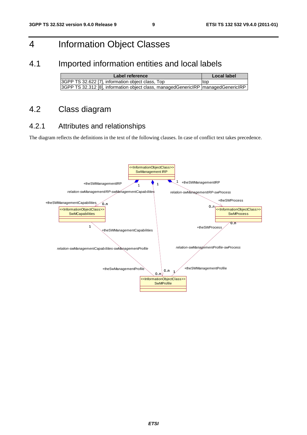### 4 Information Object Classes

### 4.1 Imported information entities and local labels

| Label reference                                                                     | Local label |
|-------------------------------------------------------------------------------------|-------------|
| 3GPP TS 32.622 [7], information object class, Top                                   | ltop        |
| 3GPP TS 32.312 [8], information object class, managedGenericIRP   managedGenericIRP |             |

### 4.2 Class diagram

#### 4.2.1 Attributes and relationships

The diagram reflects the definitions in the text of the following clauses. In case of conflict text takes precedence.

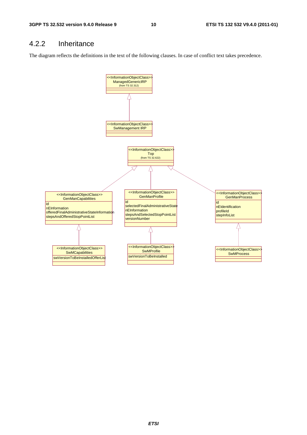### 4.2.2 Inheritance

The diagram reflects the definitions in the text of the following clauses. In case of conflict text takes precedence.

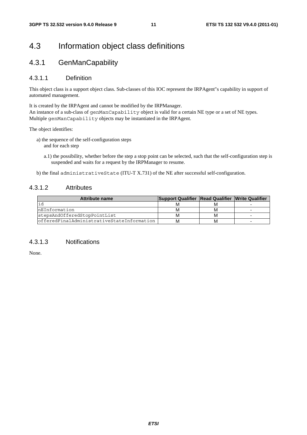### 4.3 Information object class definitions

#### 4.3.1 GenManCapability

#### 4.3.1.1 Definition

This object class is a support object class. Sub-classes of this IOC represent the IRPAgent"s capability in support of automated management.

It is created by the IRPAgent and cannot be modified by the IRPManager. An instance of a sub-class of genManCapability object is valid for a certain NE type or a set of NE types. Multiple genManCapability objects may be instantiated in the IRPAgent.

The object identifies:

- a) the sequence of the self-configuration steps and for each step
	- a.1) the possibility, whether before the step a stop point can be selected, such that the self-configuration step is suspended and waits for a request by the IRPManager to resume.
- b) the final administrativeState (ITU-T X.731) of the NE after successful self-configuration.

#### 4.3.1.2 Attributes

| Attribute name                             | Support Qualifier Read Qualifier Write Qualifier |   |  |
|--------------------------------------------|--------------------------------------------------|---|--|
|                                            |                                                  | м |  |
| InEInformation                             | ΙVΙ                                              | м |  |
| stepsAndOfferedStopPointList               | M                                                | м |  |
| offeredFinalAdministrativeStateInformation | M                                                | м |  |

#### 4.3.1.3 Notifications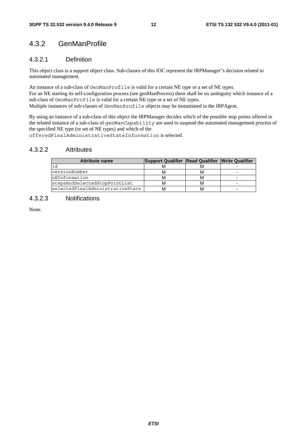### 4.3.2 GenManProfile

#### 4.3.2.1 Definition

This object class is a support object class. Sub-classes of this IOC represent the IRPManager"s decision related to automated management.

An instance of a sub-class of GenManProfile is valid for a certain NE type or a set of NE types. For an NE starting its self-configuration process (see genManProcess) there shall be no ambiguity which instance of a sub-class of GenManProfile is valid for a certain NE type or a set of NE types. Multiple instances of sub-classes of GenManProfile objects may be instantiated in the IRPAgent.

By using an instance of a sub-class of this object the IRPManager decides which of the possible stop points offered in the related instance of a sub-class of genManCapability are used to suspend the automated management process of the specified NE type (or set of NE types) and which of the

offeredFinalAdministrativeStateInformation is selected.

#### 4.3.2.2 Attributes

| <b>Attribute name</b>            | Support Qualifier Read Qualifier Write Qualifier |  |
|----------------------------------|--------------------------------------------------|--|
| id                               |                                                  |  |
| versionNumber                    |                                                  |  |
| nEInformation                    |                                                  |  |
| stepsAndSelectedStopPointList    |                                                  |  |
| selectedFinalAdministrativeState |                                                  |  |

#### 4.3.2.3 Notifications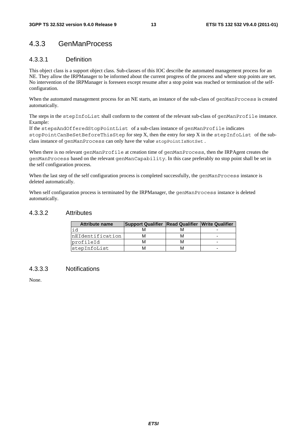### 4.3.3 GenManProcess

#### 4.3.3.1 Definition

This object class is a support object class. Sub-classes of this IOC describe the automated management process for an NE. They allow the IRPManager to be informed about the current progress of the process and where stop points are set. No intervention of the IRPManager is foreseen except resume after a stop point was reached or termination of the selfconfiguration.

When the automated management process for an NE starts, an instance of the sub-class of genManProcess is created automatically.

The steps in the stepInfoList shall conform to the content of the relevant sub-class of genManProfile instance. Example:

If the stepsAndOfferedStopPointList of a sub-class instance of genManProfile indicates stopPointCanBeSetBeforeThisStep for step X, then the entry for step X in the stepInfoList of the subclass instance of genManProcess can only have the value stopPointIsNotSet .

When there is no relevant genManProfile at creation time of genManProcess, then the IRPAgent creates the genManProcess based on the relevant genManCapability. In this case preferably no stop point shall be set in the self configuration process.

When the last step of the self configuration process is completed successfully, the genManProcess instance is deleted automatically.

When self configuration process is terminated by the IRPManager, the genManProcess instance is deleted automatically.

#### 4.3.3.2 Attributes

| <b>Attribute name</b> | Support Qualifier Read Qualifier Write Qualifier |  |
|-----------------------|--------------------------------------------------|--|
| id                    |                                                  |  |
| nEIdentification      |                                                  |  |
| profileId             |                                                  |  |
| stepInfoList          |                                                  |  |

#### 4.3.3.3 Notifications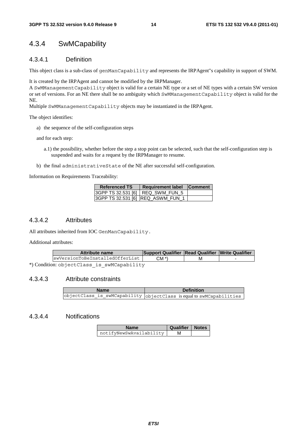### 4.3.4 SwMCapability

#### 4.3.4.1 Definition

This object class is a sub-class of genManCapability and represents the IRPAgent"s capability in support of SWM.

It is created by the IRPAgent and cannot be modified by the IRPManager.

A SwMManagementCapability object is valid for a certain NE type or a set of NE types with a certain SW version or set of versions. For an NE there shall be no ambiguity which SwMManagementCapability object is valid for the NE.

Multiple SwMManagementCapability objects may be instantiated in the IRPAgent.

The object identifies:

a) the sequence of the self-configuration steps

and for each step:

- a.1) the possibility, whether before the step a stop point can be selected, such that the self-configuration step is suspended and waits for a request by the IRPManager to resume.
- b) the final administrativeState of the NE after successful self-configuration.

Information on Requirements Traceability:

| <b>Referenced TS</b>                | <b>Requirement label</b>          | <b>Comment</b> |
|-------------------------------------|-----------------------------------|----------------|
| 13GPP TS 32.531 [6]   REQ SWM FUN 5 |                                   |                |
|                                     | 3GPP TS 32.531 [6] REQ ASWM FUN 1 |                |

#### 4.3.4.2 Attributes

All attributes inherited from IOC GenManCapability.

Additional attributes:

| <b>Attribute name</b>                      | Support Qualifier Read Qualifier Write Qualifier |  |
|--------------------------------------------|--------------------------------------------------|--|
| swVersionToBeInstalledOfferList            | CM *)                                            |  |
| *) Condition: objectClass is swMCapability |                                                  |  |

#### 4.3.4.3 Attribute constraints

| <b>Name</b> | <b>Definition</b>                                                                    |
|-------------|--------------------------------------------------------------------------------------|
|             | $\vert$ objectClass_is_swMCapability $\vert$ objectClass is equal to swMCapabilities |

#### 4.3.4.4 Notifications

| <b>Name</b>             | Qualifier   Notes |  |
|-------------------------|-------------------|--|
| notifyNewSwAvailability | м                 |  |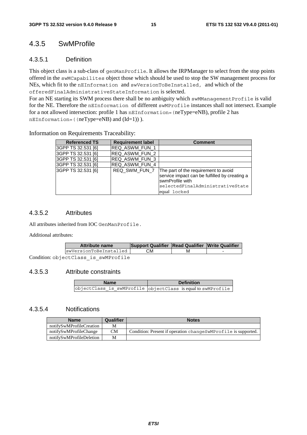#### 4.3.5 SwMProfile

#### 4.3.5.1 Definition

This object class is a sub-class of genManProfile. It allows the IRPManager to select from the stop points offered in the swMCapabilites object those which should be used to stop the SW management process for NEs, which fit to the nEInformation and swVersionToBeInstalled, and which of the offeredFinalAdministrativeStateInformation is selected.

For an NE starting its SWM process there shall be no ambiguity which swMManagementProfile is valid for the NE. Therefore the nEInformation of different swMProfile instances shall not intersect. Example for a not allowed intersection: profile 1 has nEInformation=(neType=eNB), profile 2 has nEInformation=((neType=eNB) and (Id=1)) ).

Information on Requirements Traceability:

| <b>Referenced TS</b> | <b>Requirement label</b> | <b>Comment</b>                                                                                                                                               |
|----------------------|--------------------------|--------------------------------------------------------------------------------------------------------------------------------------------------------------|
| 3GPP TS 32.531 [6]   | REQ ASWM_FUN_1           |                                                                                                                                                              |
| 3GPP TS 32.531 [6]   | REQ ASWM FUN 2           |                                                                                                                                                              |
| 3GPP TS 32.531 [6]   | REQ ASWM FUN 3           |                                                                                                                                                              |
| 3GPP TS 32.531 [6]   | REQ ASWM_FUN_4           |                                                                                                                                                              |
| 3GPP TS 32.531 [6]   | REQ SWM FUN 7            | The part of the requirement to avoid<br>service impact can be fulfilled by creating a<br>swmProfile with<br>selectedFinalAdministrativeState<br>equal locked |

#### 4.3.5.2 Attributes

All attributes inherited from IOC GenManProfile.

Additional attributes:

| Attribute name         | Support Qualifier Read Qualifier Write Qualifier |   |  |
|------------------------|--------------------------------------------------|---|--|
| swVersionToBeInstalled | CМ                                               | м |  |
| .                      |                                                  |   |  |

Condition: objectClass\_is\_swMProfile

#### 4.3.5.3 Attribute constraints

| <b>Name</b> | <b>Definition</b>                                            |  |
|-------------|--------------------------------------------------------------|--|
|             | objectClass_is_swMProfile objectClass is equal to swMProfile |  |

#### 4.3.5.4 Notifications

| <b>Name</b>              | Qualifier | <b>Notes</b>                                                    |
|--------------------------|-----------|-----------------------------------------------------------------|
| notifySwMProfileCreation | М         |                                                                 |
| notifySwMProfileChange   | <b>CM</b> | Condition: Present if operation change SwMProfile is supported. |
| notifySwMProfileDeletion | M         |                                                                 |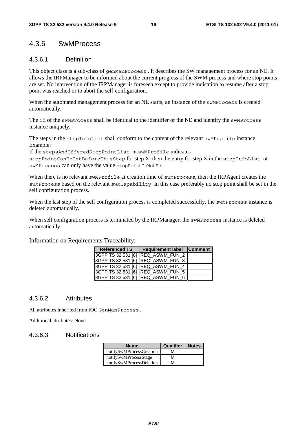#### 4.3.6 SwMProcess

#### 4.3.6.1 Definition

This object class is a sub-class of genManProcess . It describes the SW management process for an NE. It allows the IRPManager to be informed about the current progress of the SWM process and where stop points are set. No intervention of the IRPManager is foreseen except to provide indication to resume after a stop point was reached or to abort the self-configuration.

When the automated management process for an NE starts, an instance of the swMProcess is created automatically.

The id of the swMProcess shall be identical to the identifier of the NE and identify the swMProcess instance uniquely.

The steps in the stepInfoList shall conform to the content of the relevant swMProfile instance. Example:

If the stepsAndOfferedStopPointList of swMProfile indicates

stopPointCanBeSetBeforeThisStep for step  $X$ , then the entry for step  $X$  in the stepInfoList of swMProcess can only have the value stopPointIsNotSet .

When there is no relevant swMProfile at creation time of swMProcess, then the IRPAgent creates the swMProcess based on the relevant swMCapability. In this case preferably no stop point shall be set in the self configuration process.

When the last step of the self configuration process is completed successfully, the swMProcess instance is deleted automatically.

When self configuration process is terminated by the IRPManager, the swMProcess instance is deleted automatically.

| <b>Referenced TS</b> | Requirement label Comment         |  |
|----------------------|-----------------------------------|--|
|                      | 3GPP TS 32.531 [6] REQ_ASWM_FUN_2 |  |
|                      | 3GPP TS 32.531 [6] REQ_ASWM_FUN_3 |  |
|                      | 3GPP TS 32.531 [6] REQ_ASWM_FUN_4 |  |
|                      | 3GPP TS 32.531 [6] REQ_ASWM_FUN_5 |  |
|                      | 3GPP TS 32.531 [6] REQ_ASWM_FUN_6 |  |

Information on Requirements Traceability:

#### 4.3.6.2 Attributes

All attributes inherited from IOC GenManProcess.

Additional attributes: None.

#### 4.3.6.3 Notifications

| <b>Name</b>              | Qualifier | <b>Notes</b> |
|--------------------------|-----------|--------------|
| notifySwMProcessCreation | м         |              |
| notifySwMProcessStage    | м         |              |
| notifySwMProcessDeletion | M         |              |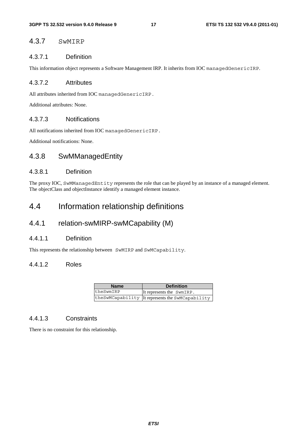#### 4.3.7 SwMIRP

#### 4.3.7.1 Definition

This information object represents a Software Management IRP. It inherits from IOC managedGenericIRP.

#### 4.3.7.2 Attributes

All attributes inherited from IOC managedGenericIRP.

Additional attributes: None.

#### 4.3.7.3 Notifications

All notifications inherited from IOC managedGenericIRP.

Additional notifications: None.

### 4.3.8 SwMManagedEntity

#### 4.3.8.1 Definition

The proxy IOC, SwMManagedEntity represents the role that can be played by an instance of a managed element. The objectClass and objectInstance identify a managed element instance.

### 4.4 Information relationship definitions

#### 4.4.1 relation-swMIRP-swMCapability (M)

#### 4.4.1.1 Definition

This represents the relationship between SwMIRP and SwMCapability.

#### 4.4.1.2 Roles

| <b>Name</b> | <b>Definition</b>                                |
|-------------|--------------------------------------------------|
| theSwmIRP   | It represents the SwmIRP.                        |
|             | theSwMCapability It represents the SwMCapability |

#### 4.4.1.3 Constraints

There is no constraint for this relationship.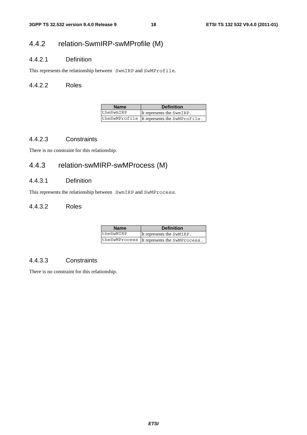### 4.4.2 relation-SwmIRP-swMProfile (M)

#### 4.4.2.1 Definition

This represents the relationship between SwmIRP and SwMProfile.

#### 4.4.2.2 Roles

| <b>Name</b> | <b>Definition</b>                           |
|-------------|---------------------------------------------|
| theSwmIRP   | It represents the SwmIRP.                   |
|             | theSwMProfile It represents the SwMProfile. |

#### 4.4.2.3 Constraints

There is no constraint for this relationship.

### 4.4.3 relation-swMIRP-swMProcess (M)

#### 4.4.3.1 Definition

This represents the relationship between SwmIRP and SwMProcess.

#### 4.4.3.2 Roles

| <b>Name</b> | <b>Definition</b>                            |
|-------------|----------------------------------------------|
| theSwMIRP   | It represents the SWMIRP.                    |
|             | theSwMProcess IIt represents the SwMProcess. |

#### 4.4.3.3 Constraints

There is no constraint for this relationship.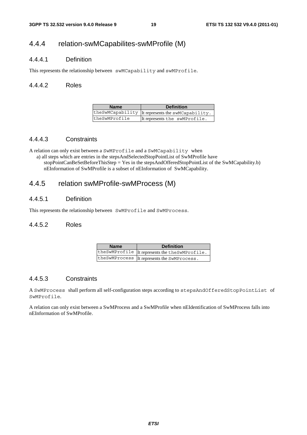### 4.4.4 relation-swMCapabilites-swMProfile (M)

#### 4.4.4.1 Definition

This represents the relationship between swMCapability and swMProfile.

#### 4.4.4.2 Roles

| <b>Name</b>   | <b>Definition</b>                                 |
|---------------|---------------------------------------------------|
|               | theSwMCapability It represents the swMCapability. |
| theSwMProfile | It represents the swMProfile.                     |

#### 4.4.4.3 Constraints

A relation can only exist between a SwMProfile and a SwMCapability when

a) all steps which are entries in the stepsAndSelectedStopPointList of SwMProfile have stopPointCanBeSetBeforeThisStep = Yes in the stepsAndOfferedStopPointList of the SwMCapability.b) nEInformation of SwMProfile is a subset of nEInformation of SwMCapability.

#### 4.4.5 relation swMProfile-swMProcess (M)

#### 4.4.5.1 Definition

This represents the relationship between SwMProfile and SwMProcess.

#### 4.4.5.2 Roles

| <b>Name</b> | <b>Definition</b>                              |
|-------------|------------------------------------------------|
|             | theSwMProfile It represents the theSwMProfile. |
|             | the SwMProcess IIt represents the SwMProcess.  |

#### 4.4.5.3 Constraints

A SwMProcess shall perform all self-configuration steps according to stepsAndOfferedStopPointList of SwMProfile.

A relation can only exist between a SwMProcess and a SwMProfile when nEIdentification of SwMProcess falls into nEInformation of SwMProfile.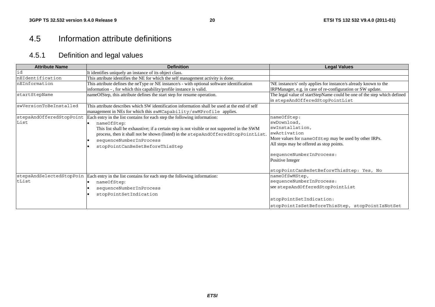### 4.5 Information attribute definitions

### 4.5.1 Definition and legal values

| <b>Attribute Name</b>    | <b>Definition</b>                                                                             | <b>Legal Values</b>                                                     |
|--------------------------|-----------------------------------------------------------------------------------------------|-------------------------------------------------------------------------|
| id                       | It identifies uniquely an instance of its object class.                                       |                                                                         |
| nEIdentification         | This attribute identifies the NE for which the self management activity is done.              |                                                                         |
| nEInformation            | This attribute defines the neType or NE instance/s - with optional software identification    | 'NE instance/s' only applies for instance/s already known to the        |
|                          | information - , for which this capability/profile instance is valid.                          | IRPManager, e.g. in case of re-configuration or SW update.              |
| startStepName            | nameOfStep, this attribute defines the start step for resume operation.                       | The legal value of startStepName could be one of the step which defined |
|                          |                                                                                               | in stepsAndOfferedStopPointList                                         |
| swVersionToBeInstalled   | This attribute describes which SW identification information shall be used at the end of self |                                                                         |
|                          | management in NEs for which this swMCapability/swMProfile applies.                            |                                                                         |
| stepsAndOfferedStopPoint | Each entry in the list contains for each step the following information:                      | nameOfStep:                                                             |
| List                     | nameOfStep:                                                                                   | swDownload,                                                             |
|                          | This list shall be exhaustive; if a certain step is not visible or not supported in the SWM   | swInstallation,                                                         |
|                          | process, then it shall not be shown (listed) in the stepsAndOfferedStopPointList.             | swActivation                                                            |
|                          | sequenceNumberInProcess                                                                       | More values for nameOfStep may be used by other IRPs.                   |
|                          | stopPointCanBeSetBeforeThisStep                                                               | All steps may be offered as stop points.                                |
|                          |                                                                                               | sequenceNumberInProcess:                                                |
|                          |                                                                                               | Positive Integer                                                        |
|                          |                                                                                               | stopPointCanBeSetBeforeThisStep: Yes, No                                |
| stepsAndSelectedStopPoin | Each entry in the list contains for each step the following information:                      | nameOfSwMStep,                                                          |
| tList                    | nameOfStep:                                                                                   | sequenceNumberInProcess:                                                |
|                          | sequenceNumberInProcess                                                                       | see stepsAndOfferedStopPointList                                        |
|                          | stopPointSetIndication                                                                        |                                                                         |
|                          |                                                                                               | stopPointSetIndication:                                                 |
|                          |                                                                                               | stopPointIsSetBeforeThisStep, stopPointIsNotSet                         |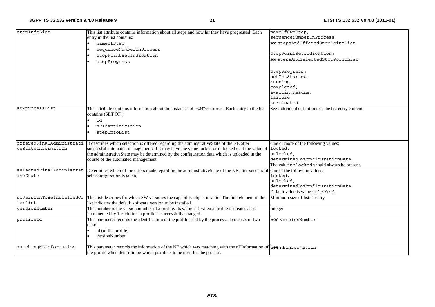| stepInfoList             | This list attribute contains information about all steps and how far they have progressed. Each                                                        | nameOfSwMStep,                                        |
|--------------------------|--------------------------------------------------------------------------------------------------------------------------------------------------------|-------------------------------------------------------|
|                          | entry in the list contains:                                                                                                                            | sequenceNumberInProcess:                              |
|                          | nameOfStep                                                                                                                                             | see stepsAndOfferedStopPointList                      |
|                          | sequenceNumberInProcess                                                                                                                                |                                                       |
|                          | stopPointSetIndication                                                                                                                                 | stopPointSetIndication:                               |
|                          | stepProgress                                                                                                                                           | see stepsAndSelectedStopPointList                     |
|                          |                                                                                                                                                        |                                                       |
|                          |                                                                                                                                                        | stepProgress:                                         |
|                          |                                                                                                                                                        | notYetStarted,                                        |
|                          |                                                                                                                                                        | running,                                              |
|                          |                                                                                                                                                        | completed,                                            |
|                          |                                                                                                                                                        | awaitingResume,                                       |
|                          |                                                                                                                                                        | failure,                                              |
|                          |                                                                                                                                                        | terminated                                            |
| swMprocessList           | This attribute contains information about the instances of swMProcess. Each entry in the list                                                          | See individual definitions of the list entry content. |
|                          | contains (SET OF):                                                                                                                                     |                                                       |
|                          | id                                                                                                                                                     |                                                       |
|                          | nEIdentification                                                                                                                                       |                                                       |
|                          | stepInfoList                                                                                                                                           |                                                       |
|                          |                                                                                                                                                        |                                                       |
|                          | offeredFinalAdministrati It describes which selection is offered regarding the administrativeState of the NE after                                     | One or more of the following values:                  |
| veStateInformation       | successful automated management: If it may have the value locked or unlocked or if the value of                                                        | locked,                                               |
|                          | the administrativeState may be determined by the configuration data which is uploaded in the                                                           | unlocked,                                             |
|                          | course of the automated management.                                                                                                                    | determinedByConfigurationData                         |
|                          |                                                                                                                                                        | The value unlocked should always be present.          |
|                          | selectedFinalAdministrat Determines which of the offers made regarding the administrativeState of the NE after successful One of the following values: |                                                       |
| iveState                 | self-configuration is taken.                                                                                                                           | locked,                                               |
|                          |                                                                                                                                                        | unlocked,                                             |
|                          |                                                                                                                                                        | determinedByConfigurationData                         |
|                          |                                                                                                                                                        | Default value is value unlocked.                      |
| swVersionToBeInstalledOf | This list describes for which SW version/s the capability object is valid. The first element in the                                                    | Minimum size of list: 1 entry                         |
| ferList                  | list indicates the default software version to be installed.                                                                                           |                                                       |
| versionNumber            | This number is the version number of a profile. Its value is 1 when a profile is created. It is                                                        | Integer                                               |
|                          | incremented by 1 each time a profile is successfully changed.                                                                                          |                                                       |
| profileId                | This parameter records the identification of the profile used by the process. It consists of two                                                       | <b>See</b> versionNumber                              |
|                          | data:                                                                                                                                                  |                                                       |
|                          | id (of the profile)                                                                                                                                    |                                                       |
|                          | versionNumber                                                                                                                                          |                                                       |
|                          |                                                                                                                                                        |                                                       |
| matchingNEInformation    | This parameter records the information of the NE which was matching with the nEInformation of See nEInformation                                        |                                                       |
|                          | the profile when determining which profile is to be used for the process.                                                                              |                                                       |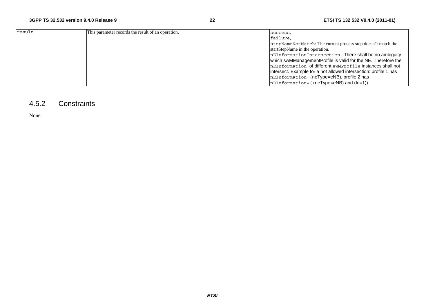| result | This parameter records the result of an operation. | success,                                                         |
|--------|----------------------------------------------------|------------------------------------------------------------------|
|        |                                                    | failure.                                                         |
|        |                                                    | stepNameNotMatch: The current process step doesn"t match the     |
|        |                                                    | startStepName in the operation.                                  |
|        |                                                    | nEInformationIntersection: There shall be no ambiguity           |
|        |                                                    | which swMManagementProfile is valid for the NE. Therefore the    |
|        |                                                    | nEInformation of different swMProfile instances shall not        |
|        |                                                    | intersect. Example for a not allowed intersection: profile 1 has |
|        |                                                    | nEInformation= (neType=eNB), profile 2 has                       |
|        |                                                    | nEInformation= ((neType=eNB) and (ld=1)).                        |

#### 4.5.2 Constraints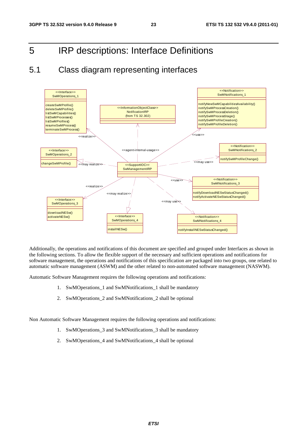### 5 IRP descriptions: Interface Definitions

### 5.1 Class diagram representing interfaces



Additionally, the operations and notifications of this document are specified and grouped under Interfaces as shown in the following sections. To allow the flexible support of the necessary and sufficient operations and notifications for software management, the operations and notifications of this specification are packaged into two groups, one related to automatic software management (ASWM) and the other related to non-automated software management (NASWM).

Automatic Software Management requires the following operations and notifications:

- 1. SwMOperations\_1 and SwMNotifications\_1 shall be mandatory
- 2. SwMOperations\_2 and SwMNotifications\_2 shall be optional

Non Automatic Software Management requires the following operations and notifications:

- 1. SwMOperations\_3 and SwMNotifications\_3 shall be mandatory
- 2. SwMOperations\_4 and SwMNotifications\_4 shall be optional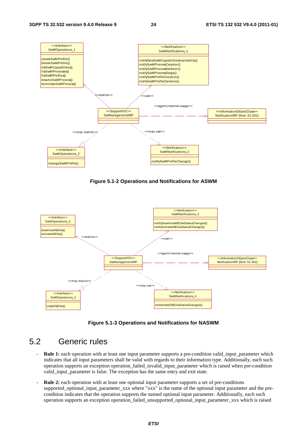

**Figure 5.1-2 Operations and Notifications for ASWM** 



**Figure 5.1-3 Operations and Notifications for NASWM** 

### 5.2 Generic rules

- **Rule 1:** each operation with at least one input parameter supports a pre-condition valid\_input\_parameter which indicates that all input parameters shall be valid with regards to their information type. Additionally, each such operation supports an exception operation\_failed\_invalid\_input\_parameter which is raised when pre-condition valid\_input\_parameter is false. The exception has the same entry and exit state.
- **Rule 2:** each operation with at least one optional input parameter supports a set of pre-conditions supported\_optional\_input\_parameter\_xxx where "xxx" is the name of the optional input parameter and the precondition indicates that the operation supports the named optional input parameter. Additionally, each such operation supports an exception operation\_failed\_unsupported\_optional\_input\_parameter\_xxx which is raised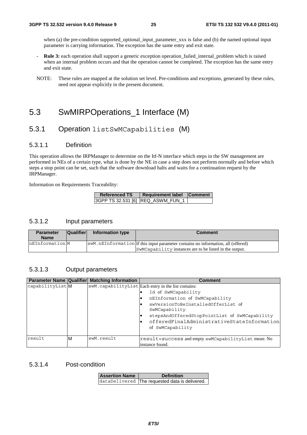when (a) the pre-condition supported optional input parameter xxx is false and (b) the named optional input parameter is carrying information. The exception has the same entry and exit state.

- **Rule 3:** each operation shall support a generic exception operation\_failed\_internal\_problem which is raised when an internal problem occurs and that the operation cannot be completed. The exception has the same entry and exit state.
- NOTE: These rules are mapped at the solution set level. Pre-conditions and exceptions, generated by these rules, need not appear explicitly in the present document.

### 5.3 SwMIRPOperations 1 Interface (M)

#### 5.3.1 Operation listSwMCapabilities (M)

#### 5.3.1.1 Definition

This operation allows the IRPManager to determine on the Itf-N interface which steps in the SW management are performed in NEs of a certain type, what is done by the NE in case a step does not perform normally and before which steps a stop point can be set, such that the software download halts and waits for a continuation request by the IRPManager.

Information on Requirements Traceability:

| <b>Referenced TS</b> | Requirement label Comment         |  |
|----------------------|-----------------------------------|--|
|                      | 3GPP TS 32.531 [6] REQ_ASWM_FUN_1 |  |

#### 5.3.1.2 Input parameters

| <b>Parameter</b><br><b>Name</b> | <b>Qualifier</b> | Information type | Comment                                                                          |
|---------------------------------|------------------|------------------|----------------------------------------------------------------------------------|
| nEInformationM                  |                  |                  | swM.nEInformation If this input parameter contains no information, all (offered) |
|                                 |                  |                  | SwMCapability instances are to be listed in the output.                          |

#### 5.3.1.3 Output parameters

|                 |   | Parameter Name Qualifier Matching Information | <b>Comment</b>                                                         |
|-----------------|---|-----------------------------------------------|------------------------------------------------------------------------|
| capabilityListM |   |                                               | swM.capabilityList Each entry in the list contains:                    |
|                 |   |                                               | Id of SwMCapability                                                    |
|                 |   |                                               | nEInformation of SwMCapability                                         |
|                 |   |                                               | swVersionToBeInstalledOfferList of<br>SwMCapability                    |
|                 |   |                                               | stepsAndOfferedStopPointList of SwMCapability                          |
|                 |   |                                               | offeredFinalAdministrativeStateInformation<br>of SwMCapability         |
| result          | M | swM.result                                    | result=success and empty swMCapabilityList mean: No<br>instance found. |

#### 5.3.1.4 Post-condition

| <b>Assertion Name</b> | <b>Definition</b>                              |  |
|-----------------------|------------------------------------------------|--|
|                       | dataDelivered The requested data is delivered. |  |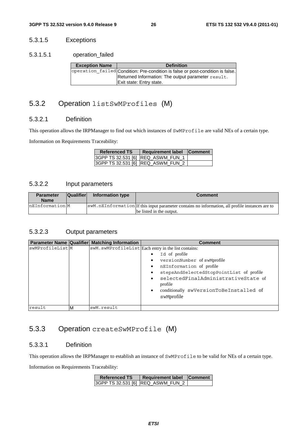#### 5.3.1.5 Exceptions

5.3.1.5.1 operation\_failed

| <b>Exception Name</b> | <b>Definition</b>                                                              |
|-----------------------|--------------------------------------------------------------------------------|
|                       | operation_failed Condition: Pre-condition is false or post-condition is false. |
|                       | Returned Information: The output parameter result.                             |
|                       | Exit state: Entry state.                                                       |

### 5.3.2 Operation listSwMProfiles (M)

#### 5.3.2.1 Definition

This operation allows the IRPManager to find out which instances of SwMProfile are valid NEs of a certain type.

Information on Requirements Traceability:

| <b>Referenced TS</b> | <b>Requirement label</b>          | <b>Comment</b> |
|----------------------|-----------------------------------|----------------|
|                      | 3GPP TS 32.531 [6] REQ_ASWM_FUN_1 |                |
|                      | 3GPP TS 32.531 [6] REQ_ASWM_FUN_2 |                |

#### 5.3.2.2 Input parameters

| <b>Parameter</b><br><b>Name</b> | <b>Qualifier</b> | Information type | Comment                                                                                                                     |
|---------------------------------|------------------|------------------|-----------------------------------------------------------------------------------------------------------------------------|
| nEInformation M                 |                  |                  | SWM.nEInformation If this input parameter contains no information, all profile instances are to<br>be listed in the output. |

#### 5.3.2.3 Output parameters

|                 |   | <b>Parameter Name Qualifier Matching Information</b> | <b>Comment</b>                                      |
|-----------------|---|------------------------------------------------------|-----------------------------------------------------|
| swMProfileListM |   |                                                      | swM.swMProfileList Each entry in the list contains: |
|                 |   |                                                      | Id of profile                                       |
|                 |   |                                                      | versionNumber of swMprofile                         |
|                 |   |                                                      | nEInformation of profile                            |
|                 |   |                                                      | stepsAndSelectedStopPointList of profile            |
|                 |   |                                                      | selectedFinalAdministrativeState of<br>profile      |
|                 |   |                                                      | conditionally swVersionToBeInstalled of             |
|                 |   |                                                      | swMprofile                                          |
|                 |   |                                                      |                                                     |
| result          | м | swM.result                                           |                                                     |

### 5.3.3 Operation createSwMProfile (M)

#### 5.3.3.1 Definition

This operation allows the IRPManager to establish an instance of SwMProfile to be valid for NEs of a certain type.

Information on Requirements Traceability:

| <b>Referenced TS</b> | Requirement label Comment         |  |
|----------------------|-----------------------------------|--|
|                      | 3GPP TS 32.531 [6] REQ_ASWM_FUN_2 |  |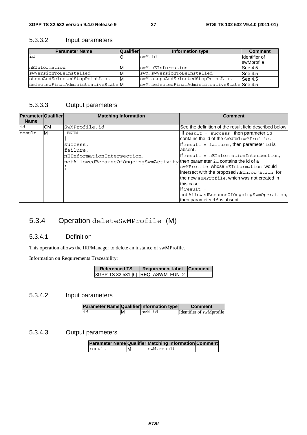#### 5.3.3.2 Input parameters

| <b>Parameter Name</b>             | <b>Qualifier</b> | Information type                            | <b>Comment</b>    |
|-----------------------------------|------------------|---------------------------------------------|-------------------|
| id                                |                  | swM.id                                      | Ildentifier of    |
|                                   |                  |                                             | <b>swMprofile</b> |
| InEInformation                    | M                | swM.nEInformation                           | See 4.5           |
| swVersionToBeInstalled            | M                | swM.swVersionToBeInstalled                  | See 4.5           |
| stepsAndSelectedStopPointList     | ΙM               | swM.stepsAndSelectedStopPointList           | See 4.5           |
| selectedFinalAdministrativeStateM |                  | swM.selectedFinalAdministrativeStateSee 4.5 |                   |

#### 5.3.3.3 Output parameters

| <b>Parameter Qualifier</b><br><b>Name</b> |           | <b>Matching Information</b>                                                                                                                               | Comment                                                                                                                                                                                                                                                                                                                                                                                                                                                     |
|-------------------------------------------|-----------|-----------------------------------------------------------------------------------------------------------------------------------------------------------|-------------------------------------------------------------------------------------------------------------------------------------------------------------------------------------------------------------------------------------------------------------------------------------------------------------------------------------------------------------------------------------------------------------------------------------------------------------|
| id                                        | <b>CM</b> | SwMProfile.id                                                                                                                                             | See the definition of the result field described below                                                                                                                                                                                                                                                                                                                                                                                                      |
| result                                    | M         | <b>ENUM</b><br>success,<br>failure,<br>nEInformationIntersection,<br>$ $ notAllowedBecauseOfOngoingSwmActivity $ $ then parameter id contains the id of a | If result = $success$ , then parameter id<br>contains the id of the created swMProfile.<br>$\mathbf{F}$ result = failure, then parameter id is<br>labsent.<br>$\ $ f result = nEInformationIntersection,<br>swMProfile whose nEInformation would<br>intersect with the proposed nEInformation for<br>the new swMProfile, which was not created in<br>this case.<br>If result $=$<br>notAllowedBecauseOfOngoingSwmOperation,<br>then parameter id is absent. |

### 5.3.4 Operation deleteSwMProfile (M)

#### 5.3.4.1 Definition

This operation allows the IRPManager to delete an instance of swMProfile.

Information on Requirements Traceability:

| <b>Referenced TS</b> | Requirement label Comment         |  |
|----------------------|-----------------------------------|--|
|                      | 3GPP TS 32.531 [6] REQ_ASWM_FUN_2 |  |

#### 5.3.4.2 Input parameters

| Parameter Name Qualifier Information type |        | <b>Comment</b>           |
|-------------------------------------------|--------|--------------------------|
| id                                        | swM.id | Identifier of swMprofile |

#### 5.3.4.3 Output parameters

|        |   | Parameter Name Qualifier Matching Information Comment |  |
|--------|---|-------------------------------------------------------|--|
| result | M | swM.result                                            |  |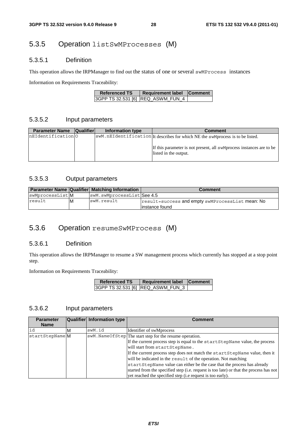### 5.3.5 Operation listSwMProcesses (M)

#### 5.3.5.1 Definition

This operation allows the IRPManager to find out the status of one or several swMProcess instances

Information on Requirements Traceability:

| <b>Referenced TS</b> | Requirement label Comment         |  |
|----------------------|-----------------------------------|--|
|                      | 3GPP TS 32.531 [6] REQ_ASWM_FUN_4 |  |

#### 5.3.5.2 Input parameters

| <b>Parameter Name</b> | <b>Qualifier</b> | Information type | <b>Comment</b>                                                                                |
|-----------------------|------------------|------------------|-----------------------------------------------------------------------------------------------|
| nEIdentification 0    |                  |                  | SWM.nEIdentification It describes for which NE the swMprocess is to be listed.                |
|                       |                  |                  | If this parameter is not present, all swMprocess instances are to be<br>listed in the output. |

#### 5.3.5.3 Output parameters

|                 |    | <b>Parameter Name Qualifier Matching Information</b> | <b>Comment</b>                                   |
|-----------------|----|------------------------------------------------------|--------------------------------------------------|
| swMprocessListM |    | swM.swMprocessListSee 4.5                            |                                                  |
| result          | ΙM | swM.result                                           | result=success and empty swMProcessList mean: No |
|                 |    |                                                      | linstance found                                  |

### 5.3.6 Operation resumeSwMProcess (M)

#### 5.3.6.1 Definition

This operation allows the IRPManager to resume a SW management process which currently has stopped at a stop point step.

Information on Requirements Traceability:

| <b>Referenced TS</b> | Requirement label Comment |  |
|----------------------|---------------------------|--|
|                      |                           |  |

#### 5.3.6.2 Input parameters

| <b>Parameter</b> |   | Qualifier Information type | Comment                                                                                |
|------------------|---|----------------------------|----------------------------------------------------------------------------------------|
| <b>Name</b>      |   |                            |                                                                                        |
| id               | м | swM.id                     | Identifier of swMprocess                                                               |
| startStepName    |   |                            | swM. NameOfStep The start step for the resume operation.                               |
|                  |   |                            | If the current process step is equal to the startStepName value, the process           |
|                  |   |                            | will start from startStepName.                                                         |
|                  |   |                            | If the current process step does not match the startStepName value, then it            |
|                  |   |                            | will be indicated in the result of the operation. Not matching                         |
|                  |   |                            | startStepName value can either be the case that the process has already                |
|                  |   |                            | started from the specified step (i.e. request is too late) or that the process has not |
|                  |   |                            | vet reached the specified step ( <i>i.e</i> request is too early).                     |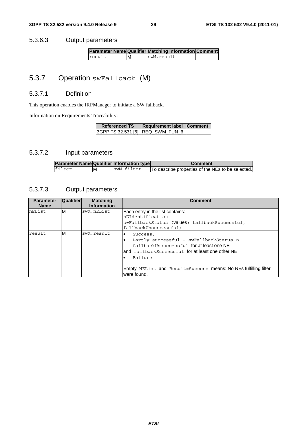#### 5.3.6.3 Output parameters

|        |   | Parameter Name Qualifier Matching Information Comment |  |
|--------|---|-------------------------------------------------------|--|
| result | M | swM.result                                            |  |

### 5.3.7 Operation swFallback (M)

#### 5.3.7.1 Definition

This operation enables the IRPManager to initiate a SW fallback.

Information on Requirements Traceability:

| <b>Referenced TS</b>             | <b>Requirement label Comment</b> |  |
|----------------------------------|----------------------------------|--|
| 3GPP TS 32.531 [6] REQ_SWM_FUN_6 |                                  |  |

#### 5.3.7.2 Input parameters

| <b>Parameter Name Qualifier Information type</b> |    |            | <b>Comment</b>                                    |
|--------------------------------------------------|----|------------|---------------------------------------------------|
| filter                                           | ΙM | swM.filter | To describe properties of the NEs to be selected. |

#### 5.3.7.3 Output parameters

| <b>Parameter</b><br><b>Name</b> | <b>Qualifier</b> | <b>Matching</b><br><b>Information</b> | <b>Comment</b>                                                                                                                                                                                                                                                 |
|---------------------------------|------------------|---------------------------------------|----------------------------------------------------------------------------------------------------------------------------------------------------------------------------------------------------------------------------------------------------------------|
| nEList                          | M                | swM.nEList                            | Each entry in the list contains:<br>nEIdentification<br>swFallbackStatus (values: fallbackSuccessful,<br>fallbackUnsuccessful)                                                                                                                                 |
| result                          | M                | swM.result                            | Success,<br>$\bullet$<br>Partly successful - swFallbackStatus is<br>fallbackUnsuccessful for at least one NE<br>land fallbackSuccessful for at least one other NE<br>Failure<br>Empty NEList and Result=Success means: No NEs fulfilling filter<br>were found. |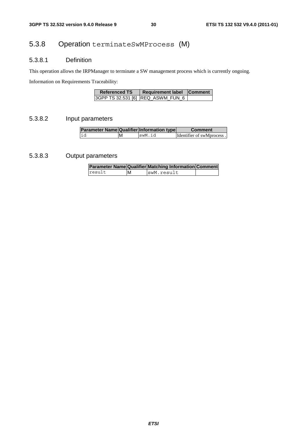### 5.3.8 Operation terminateSwMProcess (M)

#### 5.3.8.1 Definition

This operation allows the IRPManager to terminate a SW management process which is currently ongoing.

Information on Requirements Traceability:

| <b>Referenced TS</b> | <b>Requirement label</b> | <b>Comment</b> |
|----------------------|--------------------------|----------------|
|                      |                          |                |

#### 5.3.8.2 Input parameters

| <b>Parameter Name Qualifier Information type</b> |   |        | <b>Comment</b>                    |
|--------------------------------------------------|---|--------|-----------------------------------|
| lid                                              | M | swM.id | <b>Identifier of swMprocess</b> . |

#### 5.3.8.3 Output parameters

|        |   | <b>Parameter Name Qualifier Matching Information Comment</b> |  |
|--------|---|--------------------------------------------------------------|--|
| result | M | swM.result                                                   |  |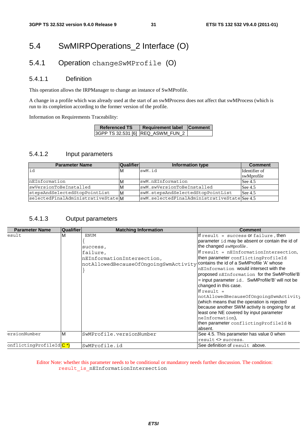### 5.4 SwMIRPOperations\_2 Interface (O)

### 5.4.1 Operation changeSwMProfile (O)

#### 5.4.1.1 Definition

This operation allows the IRPManager to change an instance of SwMProfile.

A change in a profile which was already used at the start of an swMProcess does not affect that swMProcess (which is run to its completion according to the former version of the profile.

Information on Requirements Traceability:

| <b>Referenced TS</b> | <b>Requirement label Comment</b>  |  |
|----------------------|-----------------------------------|--|
|                      | 3GPP TS 32.531 [6] REQ_ASWM_FUN_2 |  |

#### 5.4.1.2 Input parameters

| <b>Parameter Name</b>             | Qualifier | Information type                            | <b>Comment</b> |
|-----------------------------------|-----------|---------------------------------------------|----------------|
|                                   | ΙM        | swM.id                                      | Identifier of  |
|                                   |           |                                             | swMprofile     |
| InEInformation                    | M         | swM.nEInformation                           | See $4.5$      |
| swVersionToBeInstalled            | M         | swM.swVersionToBeInstalled                  | See $4.5$      |
| stepsAndSelectedStopPointList     | IМ        | swM.stepsAndSelectedStopPointList           | See $4.5$      |
| selectedFinalAdministrativeStateM |           | swM.selectedFinalAdministrativeStateSee 4.5 |                |

#### 5.4.1.3 Output parameters

| <b>Parameter Name</b>             | Qualifier | <b>Matching Information</b>                                                                                | <b>Comment</b>                                                                                                                                                                                                                                                                                                                                                                                                                                                                                                                                                                                                                                                                                              |
|-----------------------------------|-----------|------------------------------------------------------------------------------------------------------------|-------------------------------------------------------------------------------------------------------------------------------------------------------------------------------------------------------------------------------------------------------------------------------------------------------------------------------------------------------------------------------------------------------------------------------------------------------------------------------------------------------------------------------------------------------------------------------------------------------------------------------------------------------------------------------------------------------------|
| esult                             | M         | <b>ENUM</b><br>success,<br>failure,<br>nEInformationIntersection,<br>notAllowedBecauseOfOngoingSwmActivity | If result = success or failure, then<br>parameter id may be absent or contain the id of<br>the changed swMprofile.<br>If result = $nEInformationIntersection,$<br>then parameter conflicting ProfileId<br>contains the id of a SwMProfile 'A' whose<br>nEInformation would intersect with the<br>proposed nEInformation for the SwMProfile'B<br>$=$ input parameter $id.$ SwMProfile'B' will not be<br>changed in this case.<br>If result $=$<br>notAllowedBecauseOfOngoingSwmActivity<br>(which means that the operation is rejected<br>because another SWM activity is ongoing for at<br>least one NE covered by input parameter<br>neInformation),<br>then parameter conflicting ProfileId is<br>absent. |
| ersionNumber                      | M         | SwMProfile.versionNumber                                                                                   | See 4.5. This parameter has value 0 when<br>result <> success.                                                                                                                                                                                                                                                                                                                                                                                                                                                                                                                                                                                                                                              |
| onflictingProfileIdC <sup>*</sup> |           | SwMProfile.id                                                                                              | See definition of result above.                                                                                                                                                                                                                                                                                                                                                                                                                                                                                                                                                                                                                                                                             |

#### Editor Note: whether this parameter needs to be conditional or mandatory needs further discussion. The condition: result\_is\_nEInformationIntersection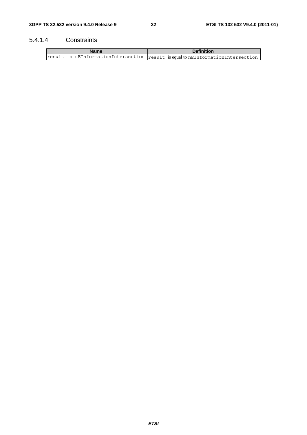#### 5.4.1.4 Constraints

| Name | <b>Definition</b>                                                                 |  |
|------|-----------------------------------------------------------------------------------|--|
|      | result is nEInformationIntersection result is equal to nEInformationIntersection' |  |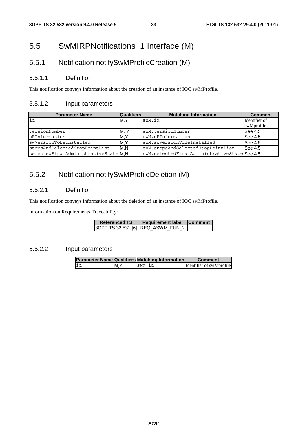### 5.5 SwMIRPNotifications\_1 Interface (M)

### 5.5.1 Notification notifySwMProfileCreation (M)

#### 5.5.1.1 Definition

This notification conveys information about the creation of an instance of IOC swMProfile.

#### 5.5.1.2 Input parameters

| <b>Parameter Name</b>              | <b>Qualifiers</b> | <b>Matching Information</b>                 | <b>Comment</b> |
|------------------------------------|-------------------|---------------------------------------------|----------------|
| lid                                | IM.Y              | swM.id                                      | Identifier of  |
|                                    |                   |                                             | swMprofile     |
| versionNumber                      | M. Y              | swM.versionNumber                           | See 4.5        |
| nEInformation                      | M,Y               | swM.nEInformation                           | See 4.5        |
| swVersionToBeInstalled             | M.Y               | swM.swVersionToBeInstalled                  | See 4.5        |
| stepsAndSelectedStopPointList      | M.N               | swM.stepsAndSelectedStopPointList           | See 4.5        |
| selectedFinalAdministrativeStateMN |                   | swM.selectedFinalAdministrativeStateSee 4.5 |                |

### 5.5.2 Notification notifySwMProfileDeletion (M)

#### 5.5.2.1 Definition

This notification conveys information about the deletion of an instance of IOC swMProfile.

Information on Requirements Traceability:

| <b>Referenced TS</b> | Requirement label Comment         |  |
|----------------------|-----------------------------------|--|
|                      | 3GPP TS 32.531 [6] REQ_ASWM_FUN_2 |  |

#### 5.5.2.2 Input parameters

|    |     | <b>Parameter Name Qualifiers Matching Information</b> | <b>Comment</b>           |
|----|-----|-------------------------------------------------------|--------------------------|
| id | M.Y | swM.id                                                | Identifier of swMprofile |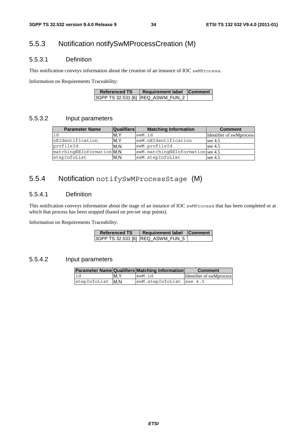### 5.5.3 Notification notifySwMProcessCreation (M)

#### 5.5.3.1 Definition

This notification conveys information about the creation of an instance of IOC swMProcess.

Information on Requirements Traceability:

| <b>Referenced TS</b> | <b>Requirement label</b>          | <b>Comment</b> |
|----------------------|-----------------------------------|----------------|
|                      | 3GPP TS 32.531 [6] REQ_ASWM_FUN_2 |                |

#### 5.5.3.2 Input parameters

| <b>Parameter Name</b>     | <b>Qualifiers</b> | <b>Matching Information</b>       | <b>Comment</b>           |
|---------------------------|-------------------|-----------------------------------|--------------------------|
| id                        | M.Y               | swM.id                            | Identifier of swMprocess |
| nEIdentification          | M.Y               | swM.nEIdentification              | see $4.5$                |
| profileId                 | M.N               | swM.profileId                     | see $4.5$                |
| matchingNEInformation M.N |                   | swM.matchingNEInformation see 4.5 |                          |
| stepInfoList              | M.N               | swM.stepInfoList                  | see $4.5$                |

### 5.5.4 Notification notifySwMProcessStage (M)

#### 5.5.4.1 Definition

This notification conveys information about the stage of an instance of IOC swMProcess that has been completed or at which that process has been stopped (based on pre-set stop points).

Information on Requirements Traceability:

| <b>Referenced TS</b> | Requirement label Comment |  |
|----------------------|---------------------------|--|
|                      |                           |  |

#### 5.5.4.2 Input parameters

|                  |     | <b>Parameter Name Qualifiers Matching Information</b> | <b>Comment</b>           |
|------------------|-----|-------------------------------------------------------|--------------------------|
| lid              | M.Y | swM.id                                                | Identifier of swMprocess |
| stepInfoList M.N |     | swM.stepInfoList see 4.5                              |                          |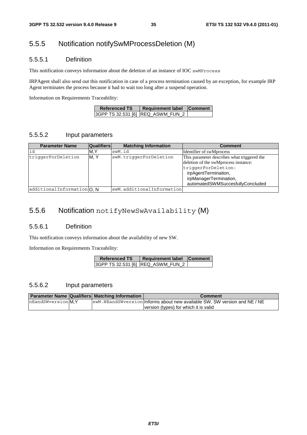### 5.5.5 Notification notifySwMProcessDeletion (M)

#### 5.5.5.1 Definition

This notification conveys information about the deletion of an instance of IOC swMProcess

IRPAgent shall also send out this notification in case of a process termination caused by an exception, for example IRP Agent terminates the process because it had to wait too long after a suspend operation.

Information on Requirements Traceability:

| <b>Referenced TS</b> | Requirement label                 | <b>Comment</b> |
|----------------------|-----------------------------------|----------------|
|                      | 3GPP TS 32.531 [6] REQ_ASWM_FUN_2 |                |

#### 5.5.5.2 Input parameters

| <b>Parameter Name</b>      | <b>Qualifiers</b> | <b>Matching Information</b> | <b>Comment</b>                                                                                                                                                                                   |
|----------------------------|-------------------|-----------------------------|--------------------------------------------------------------------------------------------------------------------------------------------------------------------------------------------------|
| id                         | M.Y               | swM.id                      | Identifier of swMprocess                                                                                                                                                                         |
| triqqerForDeletion         | M.Y               | swM.triqqerForDeletion      | This parameter describes what triggered the<br>deletion of the swMprocess instance:<br>triqqerForDeletion:<br>irpAgentTermination,<br>irpManagerTermination,<br>automatedSWMSuccesfullyConcluded |
| additionalInformation O, N |                   | swM.additionalInformation   |                                                                                                                                                                                                  |

### 5.5.6 Notification notifyNewSwAvailability (M)

#### 5.5.6.1 Definition

This notification conveys information about the availability of new SW.

Information on Requirements Traceability:

| <b>Referenced TS</b> | Requirement label Comment         |  |
|----------------------|-----------------------------------|--|
|                      | 3GPP TS 32.531 [6] REQ_ASWM_FUN_2 |  |

#### 5.5.6.2 Input parameters

|                    | <b>Parameter Name Qualifiers Matching Information</b> | Comment                                                                    |
|--------------------|-------------------------------------------------------|----------------------------------------------------------------------------|
| nEandSWyersion M.Y |                                                       | SwM. NEandSWyersion Informs about new available SW, SW version and NE / NE |
|                    |                                                       | version (types) for which it is valid                                      |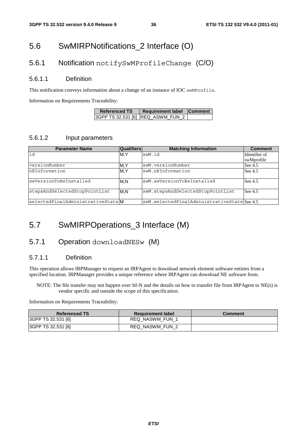### 5.6 SwMIRPNotifications\_2 Interface (O)

#### 5.6.1 Notification notifySwMProfileChange (C/O)

#### 5.6.1.1 Definition

This notification conveys information about a change of an instance of IOC swMProfile.

Information on Requirements Traceability:

| <b>Referenced TS</b> | Requirement label Comment |  |
|----------------------|---------------------------|--|
|                      |                           |  |

#### 5.6.1.2 Input parameters

| <b>Parameter Name</b>             | <b>Qualifiers</b> | <b>Matching Information</b>                 | <b>Comment</b> |
|-----------------------------------|-------------------|---------------------------------------------|----------------|
| id                                | M, Y              | swM.id                                      | Identifier of  |
|                                   |                   |                                             | swMprofile     |
| versionNumber                     | M, Y              | swM.versionNumber                           | See 4.5        |
| nEInformation                     | M,Y               | swM.nEInformation                           | See 4.5        |
| swVersionToBeInstalled            | M.N               | swM.swVersionToBeInstalled                  | See 4.5        |
| stepsAndSelectedStopPointList     | M.N               | swM.stepsAndSelectedStopPointList           | See 4.5        |
| selectedFinalAdministrativeStateM |                   | swM.selectedFinalAdministrativeStateSee 4.5 |                |

### 5.7 SwMIRPOperations\_3 Interface (M)

### 5.7.1 Operation downloadNESw (M)

#### 5.7.1.1 Definition

This operation allows IRPManager to request an IRPAgent to download network element software entities from a specified location. IRPManager provides a unique reference where IRPAgent can download NE software from.

NOTE: The file transfer may not happen over Itf-N and the details on how to transfer file from IRPAgent to NE(s) is vendor specific and outside the scope of this specification.

Information on Requirements Traceability:

| <b>Referenced TS</b> | <b>Requirement label</b> | Comment |
|----------------------|--------------------------|---------|
| 3GPP TS 32.531 [6]   | <b>REQ NASWM FUN 1</b>   |         |
| 3GPP TS 32.531 [6]   | REQ NASWM FUN 2          |         |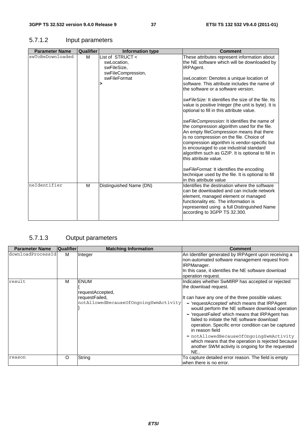#### **Parameter Name Qualifier Information type Comment Comment**<br>WToBeDownloaded M List of STRUCT < These attributes represent in swToBeDownloaded M swLocation, swFileSize, swFileCompression, swFileFormat **>** These attributes represent information about the NE software which will be downloaded by IRPAgent. *swLocation:* Denotes a unique location of software. This attribute includes the name of the software or a software version. *swFileSize:* It identifies the size of the file. Its value is positive Integer (the unit is byte). It is optional to fill in this attribute value. *swFileCompression:* It identifies the name of the compression algorithm used for the file. An empty fileCompression means that there is no compression on the file. Choice of compression algorithm is vendor-specific but is encouraged to use industrial standard algorithm such as GZIP. It is optional to fill in this attribute value. *swFileFormat:* It identifies the encoding technique used by the file. It is optional to fill in this attribute value neIdentifier M Distinguished Name (DN) Identifies the destination where the software can be downloaded and can include network element, managed element or managed functionality etc. The information is represented using a full Distinguished Name according to 3GPP TS 32.300.

#### 5.7.1.2 Input parameters

#### 5.7.1.3 Output parameters

| <b>Parameter Name</b> | <b>Qualifier</b> | <b>Matching Information</b>                                                                | <b>Comment</b>                                                                                                                                                                                                                                                                                                                                                                                                                                                                                                                                                                      |
|-----------------------|------------------|--------------------------------------------------------------------------------------------|-------------------------------------------------------------------------------------------------------------------------------------------------------------------------------------------------------------------------------------------------------------------------------------------------------------------------------------------------------------------------------------------------------------------------------------------------------------------------------------------------------------------------------------------------------------------------------------|
| downloadProcessId     | М                | Integer                                                                                    | An Identifier generated by IRPAgent upon receiving a<br>non-automated software management request from<br><b>IRPManager.</b><br>In this case, it identifies the NE software download<br>operation request.                                                                                                                                                                                                                                                                                                                                                                          |
| result                | м                | <b>ENUM</b><br>requestAccepted,<br>requestFailed,<br>notAllowedBecauseOfOngoingSwmActivity | Indicates whether SwMIRP has accepted or rejected<br>the download request.<br>It can have any one of the three possible values:<br>- 'requestAccepted' which means that IRPAgent<br>would perform the NE software download operation<br>- 'requestFailed' which means that IRPAgent has<br>failed to initiate the NE software download<br>operation. Specific error condition can be captured<br>in reason field<br>- notAllowedBecauseOfOngoingSwmActivity<br>which means that the operation is rejected because<br>another SWM activity is ongoing for the requested<br><b>NE</b> |
| reason                | O                | String                                                                                     | To capture detailed error reason. The field is empty<br>when there is no error.                                                                                                                                                                                                                                                                                                                                                                                                                                                                                                     |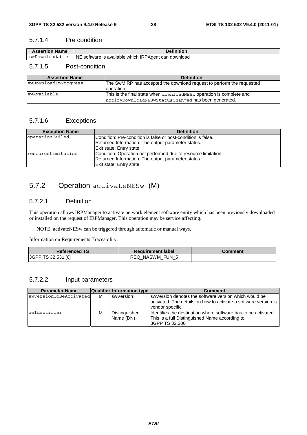#### 5.7.1.4 Pre condition

| <b>Assertion Name</b> | <b>Definition</b>                                    |
|-----------------------|------------------------------------------------------|
| swDownloadable        | NE software is available which IRPAgent can download |
|                       |                                                      |

#### 5.7.1.5 Post-condition

| <b>Assertion Name</b> | <b>Definition</b>                                                                                                          |
|-----------------------|----------------------------------------------------------------------------------------------------------------------------|
| swDownloadInProgress  | The SwMIRP has accepted the download request to perform the requested<br>loperation.                                       |
| swAvailable           | This is the final state when downloadNESw operation is complete and<br>notifyDownloadNESwStatusChanged has been generated. |

#### 5.7.1.6 Exceptions

| <b>Exception Name</b> | <b>Definition</b>                                              |
|-----------------------|----------------------------------------------------------------|
| operationFailed       | Condition: Pre-condition is false or post-condition is false.  |
|                       | Returned Information: The output parameter status.             |
|                       | Exit state: Entry state.                                       |
| resourceLimitation    | Condition: Operation not performed due to resource limitation. |
|                       | Returned Information: The output parameter status.             |
|                       | Exit state: Entry state.                                       |

### 5.7.2 Operation activateNESw (M)

#### 5.7.2.1 Definition

This operation allows IRPManager to activate network element software entity which has been previously downloaded or installed on the request of IRPManager. This operation may be service affecting.

NOTE: activateNESw can be triggered through automatic or manual ways.

Information on Requirements Traceability:

| <b>Referenced TS</b> | <b>Requirement label</b> | Comment |
|----------------------|--------------------------|---------|
| 3GPP TS 32.531 [6]   | REQ NASWM FUN 5          |         |

#### 5.7.2.2 Input parameters

| <b>Parameter Name</b>  |   | Qualifier Information type | <b>Comment</b>                                                                                                                                 |
|------------------------|---|----------------------------|------------------------------------------------------------------------------------------------------------------------------------------------|
| swVersionToBeActivated | м | swVersion                  | IswVersion denotes the software version which would be<br>lactivated. The details on how to activate a software version is<br>vendor specific. |
| neIdentifier           | M | Distinguished<br>Name (DN) | Identifies the destination where software has to be activated.<br>This is a full Distinguished Name according to<br>3GPP TS 32.300             |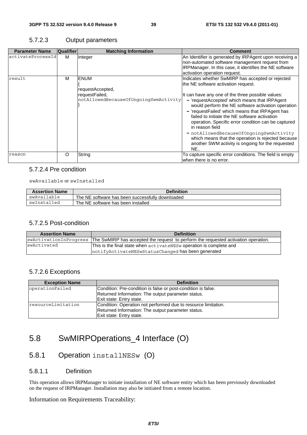#### 5.7.2.3 Output parameters

| <b>Parameter Name</b> | <b>Qualifier</b> | <b>Matching Information</b>                                                                | <b>Comment</b>                                                                                                                                                                                                                                                                                                                                                                                                                                                                                                                                                                                        |
|-----------------------|------------------|--------------------------------------------------------------------------------------------|-------------------------------------------------------------------------------------------------------------------------------------------------------------------------------------------------------------------------------------------------------------------------------------------------------------------------------------------------------------------------------------------------------------------------------------------------------------------------------------------------------------------------------------------------------------------------------------------------------|
| activateProcessId     | м                | Integer                                                                                    | An Identifier is generated by IRPAgent upon receiving a<br>non-automated software management request from<br>IRPManager. In this case, it identifies the NE software<br>activation operation request.                                                                                                                                                                                                                                                                                                                                                                                                 |
| result                | м                | <b>ENUM</b><br>requestAccepted,<br>requestFailed,<br>notAllowedBecauseOfOngoingSwmActivity | Indicates whether SwMIRP has accepted or rejected<br>the NE software activation request.<br>It can have any one of the three possible values:<br>- 'requestAccepted' which means that IRPAgent<br>would perform the NE software activation operation<br>- 'requestFailed' which means that IRPAgent has<br>failed to initiate the NE software activation<br>operation. Specific error condition can be captured<br>in reason field<br>- notAllowedBecauseOfOngoingSwmActivity<br>which means that the operation is rejected because<br>another SWM activity is ongoing for the requested<br><b>NE</b> |
| reason                | O                | String                                                                                     | To capture specific error conditions. The field is empty<br>when there is no error.                                                                                                                                                                                                                                                                                                                                                                                                                                                                                                                   |

#### 5.7.2.4 Pre condition

swAvailable or swInstalled

| <b>Assertion Name</b> | Definition                                       |
|-----------------------|--------------------------------------------------|
| swAvailable           | The NE software has been successfully downloaded |
| swInstalled           | The NE software has been installed               |

#### 5.7.2.5 Post-condition

| <b>Assertion Name</b> | <b>Definition</b>                                                                                         |
|-----------------------|-----------------------------------------------------------------------------------------------------------|
|                       | swactivationInProgress The SwMIRP has accepted the request to perform the requested activation operation. |
| swActivated           | This is the final state when $\texttt{active}$ activatent aw operation is complete and                    |
|                       | notifyActivateNESwStatusChanged has been generated                                                        |

#### 5.7.2.6 Exceptions

| <b>Exception Name</b> | <b>Definition</b>                                              |
|-----------------------|----------------------------------------------------------------|
| operationFailed       | Condition: Pre-condition is false or post-condition is false.  |
|                       | Returned Information: The output parameter status.             |
|                       | Exit state: Entry state.                                       |
| resourceLimitation    | Condition: Operation not performed due to resource limitation. |
|                       | Returned Information: The output parameter status.             |
|                       | Exit state: Entry state.                                       |

### 5.8 SwMIRPOperations\_4 Interface (O)

### 5.8.1 Operation installNESw (O)

#### 5.8.1.1 Definition

This operation allows IRPManager to initiate installation of NE software entity which has been previously downloaded on the request of IRPManager. Installation may also be initiated from a remote location.

#### Information on Requirements Traceability: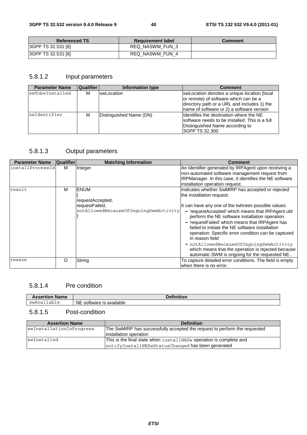| <b>Referenced TS</b> | <b>Requirement label</b> | Comment |
|----------------------|--------------------------|---------|
| 3GPP TS 32.531 [6]   | REQ NASWM FUN 3          |         |
| 3GPP TS 32.531 [6]   | REQ NASWM FUN 4          |         |

#### 5.8.1.2 Input parameters

| <b>Parameter Name</b> | <b>Qualifier</b> | Information type        | <b>Comment</b>                                                                                                                                                                   |
|-----------------------|------------------|-------------------------|----------------------------------------------------------------------------------------------------------------------------------------------------------------------------------|
| swTobeInstalled       | м                | <b>IswLocation</b>      | swLocation denotes a unique location (local<br>or remote) of software which can be a<br>directory path or a URL and includes 1) the<br>name of software or 2) a software version |
| neIdentifier          | M                | Distinguished Name (DN) | Identifies the destination where the NE<br>software needs to be installed. This is a full<br>Distinguished Name according to<br>I3GPP TS 32.300                                  |

### 5.8.1.3 Output parameters

| <b>Parameter Name</b> | <b>Qualifier</b> | <b>Matching Information</b>                                                                | <b>Comment</b>                                                                                                                                                                                                                                                                                                                                                                                                                                                                                                                                                                 |
|-----------------------|------------------|--------------------------------------------------------------------------------------------|--------------------------------------------------------------------------------------------------------------------------------------------------------------------------------------------------------------------------------------------------------------------------------------------------------------------------------------------------------------------------------------------------------------------------------------------------------------------------------------------------------------------------------------------------------------------------------|
| installProcessId      | м                | Integer                                                                                    | An Identifier generated by IRPAgent upon receiving a<br>non-automated software management request from<br>IRPManager. In this case, it identifies the NE software<br>installation operation request.                                                                                                                                                                                                                                                                                                                                                                           |
| result                | м                | <b>ENUM</b><br>requestAccepted,<br>requestFailed,<br>notAllowedBecauseOfOngoingSwmActivity | Indicates whether SwMIRP has accepted or rejected<br>the installation request.<br>It can have any one of the twhreeo possible values:<br>- 'requestAccepted' which means that IRPAgent uld<br>perform the NE software installation operation<br>- 'requestFailed' which means that IRPAgent has<br>failed to initiate the NE software installation<br>operation. Specific error condition can be captured<br>in reason field<br>- notAllowedBecauseOfOngoingSwmActivity<br>which means that the operation is rejected because<br>automatic SWM is ongoing for the requested NE |
| reason                | O                | String                                                                                     | To capture detailed error conditions. The field is empty<br>when there is no error.                                                                                                                                                                                                                                                                                                                                                                                                                                                                                            |

#### 5.8.1.4 Pre condition

| <b>Name</b><br>Assertion | .                                     |
|--------------------------|---------------------------------------|
| ab⊥e<br>SW<br>ר בזד.     | <b>NE</b><br>available<br>software is |
|                          |                                       |

### 5.8.1.5 Post-condition

| <b>Assertion Name</b>    | <b>Definition</b>                                                                                                       |  |
|--------------------------|-------------------------------------------------------------------------------------------------------------------------|--|
| swInstallationInProgress | The SwMIRP has successfully accepted the request to perform the requested<br>linstallation operation                    |  |
| swInstalled              | This is the final state when installNESw operation is complete and<br>notifyInstallNESwStatusChanged has been generated |  |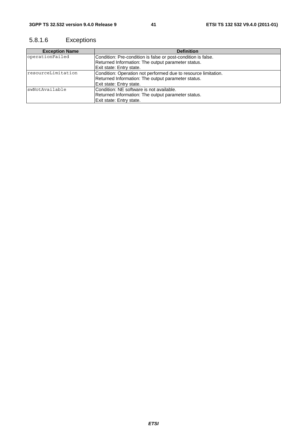### 5.8.1.6 Exceptions

| <b>Exception Name</b> | <b>Definition</b>                                              |
|-----------------------|----------------------------------------------------------------|
| operationFailed       | Condition: Pre-condition is false or post-condition is false.  |
|                       | Returned Information: The output parameter status.             |
|                       | Exit state: Entry state.                                       |
| resourceLimitation    | Condition: Operation not performed due to resource limitation. |
|                       | Returned Information: The output parameter status.             |
|                       | Exit state: Entry state.                                       |
| swNotAvailable        | Condition: NE software is not available.                       |
|                       | Returned Information: The output parameter status.             |
|                       | Exit state: Entry state.                                       |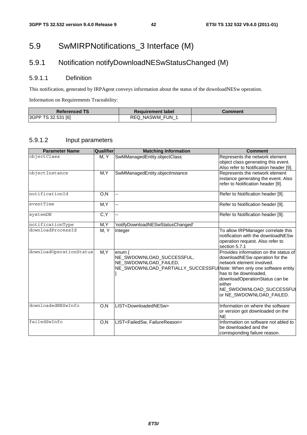### 5.9 SwMIRPNotifications\_3 Interface (M)

### 5.9.1 Notification notifyDownloadNESwStatusChanged (M)

#### 5.9.1.1 Definition

This notification, generated by IRPAgent conveys information about the status of the downloadNESw operation.

Information on Requirements Traceability:

| <b>Referenced TS</b> | <b>Requirement label</b> | Comment |
|----------------------|--------------------------|---------|
| 3GPP TS 32.531 [6]   | REQ NASWM FUN 1          |         |

#### 5.9.1.2 Input parameters

| <b>Parameter Name</b>   | Qualifier | <b>Matching Information</b>                                                                                                              | <b>Comment</b>                                                                                                                                                                                                                    |
|-------------------------|-----------|------------------------------------------------------------------------------------------------------------------------------------------|-----------------------------------------------------------------------------------------------------------------------------------------------------------------------------------------------------------------------------------|
| objectClass             | M, Y      | SwMManagedEntity.objectClass                                                                                                             | Represents the network element<br>object class generating this event.<br>Also refer to Notification header [9].                                                                                                                   |
| objectInstance          | M, Y      | SwMManagedEntity.objectInstance                                                                                                          | Represents the network element<br>instance generating the event. Also<br>refer to Notification header [9].                                                                                                                        |
| notificationId          | O, N      | --                                                                                                                                       | Refer to Notification header [9].                                                                                                                                                                                                 |
| eventTime               | M, Y      | $\overline{\phantom{a}}$                                                                                                                 | Refer to Notification header [9].                                                                                                                                                                                                 |
| systemDN                | C, Y      |                                                                                                                                          | Refer to Notification header [9].                                                                                                                                                                                                 |
| notificationType        | M, Y      | 'notifyDownloadNESwStatusChanged'                                                                                                        |                                                                                                                                                                                                                                   |
| downloadProcessId       | M, Y      | Integer                                                                                                                                  | To allow IRPManager correlate this<br>notification with the downloadNESw<br>operation request. Also refer to<br>section 5.7.1                                                                                                     |
| downloadOperationStatus | M, Y      | enum $\{$<br>NE_SWDOWNLOAD_SUCCESSFUL,<br>NE_SWDOWNLOAD_FAILED,<br>NE_SWDOWNLOAD_PARTIALLY_SUCCESSFUINote: When only one software entity | Provides information on the status of<br>downloadNESw operation for the<br>network element involved.<br>has to be downloaded.<br>downloadOperationStatus can be<br>either<br>NE_SWDOWNLOAD_SUCCESSFUI<br>or NE_SWDOWNLOAD_FAILED. |
| downloadedNESwInfo      | O, N      | LIST <downloadednesw></downloadednesw>                                                                                                   | Information on where the software<br>or version got downloaded on the<br><b>NE</b>                                                                                                                                                |
| failedSwInfo            | O, N      | LIST <failedsw, failurereason=""></failedsw,>                                                                                            | Information on software not abled to<br>be downloaded and the<br>corresponding failure reason.                                                                                                                                    |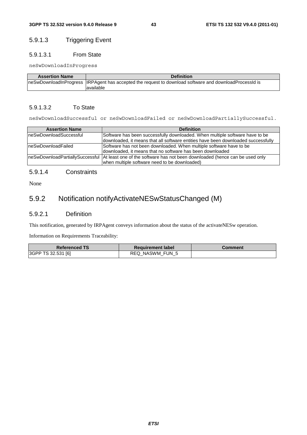#### 5.9.1.3 Triggering Event

#### 5.9.1.3.1 From State

neSwDownloadInProgress

| <b>Assertion Name</b> | <b>Definition</b>                                                                                       |
|-----------------------|---------------------------------------------------------------------------------------------------------|
|                       | neSwDownloadInProgress  IRPAgent has accepted the request to download software and downloadProcessId is |
|                       | lavailable                                                                                              |

#### 5.9.1.3.2 To State

neSwDownloadSuccessful or neSwDownloadFailed or neSwDownloadPartiallySuccessful.

| <b>Assertion Name</b>  | <b>Definition</b>                                                                                                                                                 |  |
|------------------------|-------------------------------------------------------------------------------------------------------------------------------------------------------------------|--|
| neSwDownloadSuccessful | Software has been successfully downloaded. When multiple software have to be<br>downloaded, it means that all software entities have been downloaded successfully |  |
| IneSwDownloadFailed    | Software has not been downloaded. When multiple software have to be<br>downloaded, it means that no software has been downloaded                                  |  |
|                        | IneSwDownloadPartiallySuccessful  At least one of the software has not been downloaded (hence can be used only<br>when multiple software need to be downloaded)   |  |

#### 5.9.1.4 Constraints

None

### 5.9.2 Notification notifyActivateNESwStatusChanged (M)

#### 5.9.2.1 Definition

This notification, generated by IRPAgent conveys information about the status of the activateNESw operation.

Information on Requirements Traceability:

| <b>Referenced TS</b> | <b>Requirement label</b> | Comment |
|----------------------|--------------------------|---------|
| 3GPP TS 32.531 [6]   | REQ NASWM FUN 5          |         |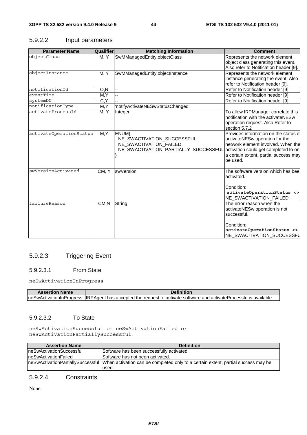#### 5.9.2.2 Input parameters

| <b>Parameter Name</b>   | <b>Qualifier</b> | <b>Matching Information</b>                                                                                                                         | <b>Comment</b>                                                                                                                                                     |
|-------------------------|------------------|-----------------------------------------------------------------------------------------------------------------------------------------------------|--------------------------------------------------------------------------------------------------------------------------------------------------------------------|
| objectClass             | M, Y             | SwMManagedEntity.objectClass                                                                                                                        | Represents the network element                                                                                                                                     |
|                         |                  |                                                                                                                                                     | object class generating this event.<br>Also refer to Notification header [9].                                                                                      |
| objectInstance          | M, Y             | SwMManagedEntity.objectInstance                                                                                                                     | Represents the network element<br>instance generating the event. Also                                                                                              |
|                         |                  |                                                                                                                                                     | refer to Notification header [9].                                                                                                                                  |
| notificationId          | O,N              | $\overline{a}$                                                                                                                                      | Refer to Notification header [9].                                                                                                                                  |
| eventTime               | M, Y             | цц.                                                                                                                                                 | Refer to Notification header [9].                                                                                                                                  |
| systemDN                | C,Y              | 44                                                                                                                                                  | Refer to Notification header [9].                                                                                                                                  |
| notificationType        | M, Y             | 'notifyActivateNESwStatusChanged'                                                                                                                   |                                                                                                                                                                    |
| activateProcessId       | M, Y             | Integer                                                                                                                                             | To allow IRPManager correlate this<br>notification with the activateNESw<br>operation request. Also Refer to<br>section 5.7.2                                      |
| activateOperationStatus | M, Y             | <b>ENUM{</b><br>NE_SWACTIVATION_SUCCESSFUL,<br>NE_SWACTIVATION_FAILED,<br>NE_SWACTIVATION_PARTIALLY_SUCCESSFUL activation could get completed to on | Provides information on the status of<br>activateNESw operation for the<br>network element involved. When the<br>a certain extent, partial success may<br>be used. |
| swVersionActivated      | CM, Y            | swVersion                                                                                                                                           | The software version which has bee<br>activated.<br>Condition:<br>activateOperationStatus <><br>NE_SWACTIVATION_FAILED                                             |
| failureReason           | CM, N            | String                                                                                                                                              | The error reason when the<br>activateNESw operation is not<br>successful.<br>Condition:<br>activateOperationStatus <><br>NE SWACTIVATION SUCCESSFL                 |

#### 5.9.2.3 Triggering Event

#### 5.9.2.3.1 From State

neSwActivationInProgress

| <b>Assertion Name</b> |                                                                                                                     |
|-----------------------|---------------------------------------------------------------------------------------------------------------------|
|                       | neSwActivationInProgress IIRPAgent has accepted the request to activate software and activateProcessId is available |

#### 5.9.2.3.2 To State

neSwActivationSuccessful or neSwActivationFailed or neSwActivationPartiallySuccessful.

| <b>Assertion Name</b>           | <b>Definition</b>                                                                                                              |  |  |
|---------------------------------|--------------------------------------------------------------------------------------------------------------------------------|--|--|
| <b>neSwActivationSuccessful</b> | Software has been successfully activated.                                                                                      |  |  |
| neSwActivationFailed            | Software has not been activated.                                                                                               |  |  |
|                                 | IneSwActivationPartiallySuccessful  When activation can be completed only to a certain extent, partial success may be<br>used. |  |  |

#### 5.9.2.4 Constraints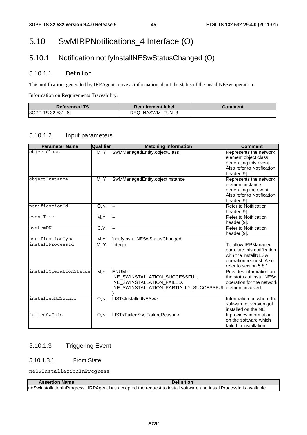### 5.10 SwMIRPNotifications\_4 Interface (O)

### 5.10.1 Notification notifyInstallNESwStatusChanged (O)

#### 5.10.1.1 Definition

This notification, generated by IRPAgent conveys information about the status of the installNESw operation.

Information on Requirements Traceability:

| <b>Referenced TS</b> | <b>Exequirement label</b> | Comment |
|----------------------|---------------------------|---------|
| 3GPP TS 32.531 [6]   | REQ NASWM FUN 3           |         |

#### 5.10.1.2 Input parameters

| <b>Parameter Name</b>  | Qualifier | <b>Matching Information</b>                                                                                    | <b>Comment</b>                                                                                                                  |
|------------------------|-----------|----------------------------------------------------------------------------------------------------------------|---------------------------------------------------------------------------------------------------------------------------------|
| objectClass            | M, Y      | SwMManagedEntity.objectClass                                                                                   | Represents the network<br>element object class<br>generating this event.<br>Also refer to Notification                          |
|                        |           |                                                                                                                | header [9].                                                                                                                     |
| objectInstance         | M, Y      | SwMManagedEntity.objectInstance                                                                                | Represents the network<br>element instance<br>generating the event.<br>Also refer to Notification                               |
|                        |           |                                                                                                                | header [9]                                                                                                                      |
| notificationId         | O, N      | --                                                                                                             | Refer to Notification<br>header [9].                                                                                            |
| eventTime              | M, Y      | --                                                                                                             | <b>Refer to Notification</b><br>header [9].                                                                                     |
| systemDN               | C, Y      | Ш,                                                                                                             | <b>Refer to Notification</b><br>header [9].                                                                                     |
| notificationType       | M, Y      | 'notifyInstallNESwStatusChanged'                                                                               |                                                                                                                                 |
| installProcessId       | M, Y      | Integer                                                                                                        | To allow IRPManager<br>correlate this notification<br>with the installNESw<br>operation request. Also<br>refer to section 5.8.1 |
| installOperationStatus | M, Y      | ENUM {<br>NE_SWINSTALLATION_SUCCESSFUL,<br>NE_SWINSTALLATION_FAILED,<br>NE_SWINSTALLATION_PARTIALLY_SUCCESSFUL | Provides information on<br>the status of installNESw<br>operation for the network<br>lelement involved.                         |
| installedNESwInfo      | O, N      | LIST <installednesw></installednesw>                                                                           | Information on where the<br>software or version got<br>installed on the NE                                                      |
| failedSwInfo           | O, N      | LIST <failedsw, failurereason=""></failedsw,>                                                                  | It provides information<br>on the software which<br>failed in installation                                                      |

### 5.10.1.3 Triggering Event

#### 5.10.1.3.1 From State

neSwInstallationInProgress

| <b>Assertion Name</b> | <b>Definition</b>                                                                                                    |
|-----------------------|----------------------------------------------------------------------------------------------------------------------|
|                       | IneSwInstallationInProgress IIRPAgent has accepted the request to install software and installProcessId is available |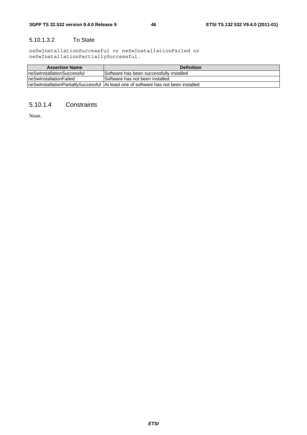#### 5.10.1.3.2 To State

neSwInstallationSuccessful or neSwInstallationFailed or neSwInstallationPartiallySuccessful.

| <b>Assertion Name</b>       | <b>Definition</b>                                                                     |
|-----------------------------|---------------------------------------------------------------------------------------|
| IneSwInstallationSuccessful | Software has been successfully installed                                              |
| IneSwInstallationFailed     | Software has not been installed                                                       |
|                             | IneSwInstallationPartiallvSuccessful IAt least one of software has not been installed |

#### 5.10.1.4 Constraints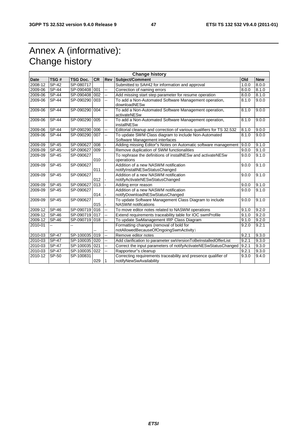### Annex A (informative): Change history

| <b>Change history</b> |              |                 |           |            |                                                                                           |       |            |
|-----------------------|--------------|-----------------|-----------|------------|-------------------------------------------------------------------------------------------|-------|------------|
| <b>Date</b>           | TSG#         | <b>TSG Doc.</b> | <b>CR</b> | <b>Rev</b> | Subject/Comment                                                                           | Old   | <b>New</b> |
| 2008-12               | <b>SP-42</b> | SP-080717       |           |            | Submitted to SA#42 for information and approval                                           | 1.0.0 | 8.0.0      |
| 2009-06               | <b>SP-44</b> | SP-090408 001   |           | ш,         | Correction of naming errors                                                               | 8.0.0 | 8.1.0      |
| 2009-06               | $SP-44$      | SP-090408 002   |           | ш,         | Add missing start step parameter for resume operation                                     | 8.0.0 | 8.1.0      |
| 2009-06               | <b>SP-44</b> | SP-090290 003   |           | цú.        | To add a Non-Automated Software Management operation,<br>downloadNESw                     | 8.1.0 | 9.0.0      |
| 2009-06               | <b>SP-44</b> | SP-090290 004   |           | ц,         | To add a Non-Automated Software Management operation,<br>activateNESw                     | 8.1.0 | 9.0.0      |
| 2009-06               | <b>SP-44</b> | SP-090290 005   |           | u.         | To add a Non-Automated Software Management operation,<br>installNESw                      | 8.1.0 | 9.0.0      |
| 2009-06               | SP-44        | SP-090290 006   |           | u.         | Editorial cleanup and correction of various qualifiers for TS 32.532                      | 8.1.0 | 9.0.0      |
| 2009-06               | <b>SP-44</b> | SP-090290 007   |           | Щ.         | To update SWM Class diagram to include Non-Automated<br>Software Management interfaces    | 8.1.0 | 9.0.0      |
| 2009-09               | SP-45        | SP-090627       | 008       |            | Adding missing Editor"s Notes on Automatic software management                            | 9.0.0 | 9.1.0      |
| 2009-09               | $SP-45$      | SP-090627       | 009       |            | Remove duplication of SWM functionalities                                                 | 9.0.0 | 9.1.0      |
| 2009-09               | SP-45        | SP-090627       | 010       |            | To rephrase the definitions of installNESw and activateNESw<br>operations                 | 9.0.0 | 9.1.0      |
| 2009-09               | <b>SP-45</b> | SP-090627       | 011       |            | Addition of a new NASWM notification<br>notifyInstallNESwStatusChanged                    | 9.0.0 | 9.1.0      |
| 2009-09               | SP-45        | SP-090627       | 012       |            | Addition of a new NASWM notification<br>notifyActivateNESwStatusChanged                   | 9.0.0 | 9.1.0      |
| 2009-09               | <b>SP-45</b> | SP-090627       | 013       |            | Adding error reason                                                                       | 9.0.0 | 9.1.0      |
| 2009-09               | SP-45        | SP-090627       | 014       |            | Addition of a new NASWM notification<br>notifyDownloadNESwStatusChanged                   | 9.0.0 | 9.1.0      |
| 2009-09               | $SP-45$      | SP-090627       | 015       |            | To update Software Management Class Diagram to include<br><b>NASWM</b> notifications      | 9.0.0 | 9.1.0      |
| 2009-12               | <b>SP-46</b> | SP-090719 016   |           | Щ.         | To move editor notes related to NASWM operations                                          | 9.1.0 | 9.2.0      |
| 2009-12               | <b>SP-46</b> | SP-090719 017   |           |            | Extend requirements traceability table for IOC swmProfile                                 | 9.1.0 | 9.2.0      |
| 2009-12               | SP-46        | SP-090719 018   |           | ц,         | To update SwManagement IRP Class Diagram                                                  | 9.1.0 | 9.2.0      |
| 2010-01               |              |                 |           |            | Formatting changes (removal of bold for<br>notAllowedBecauseOfOngoingSwmActivity)         | 9.2.0 | 9.2.1      |
| 2010-03               | <b>SP-47</b> | SP-100035 019   |           | Щ.         | Remove editor notes                                                                       | 9.2.1 | 9.3.0      |
| 2010-03               | <b>SP-47</b> | SP-100035 020   |           | --         | Add clarification to parameter swVersionToBeInstalledOfferList                            | 9.2.1 | 9.3.0      |
| 2010-03               | <b>SP-47</b> | SP-100035 021   |           | --         | Correct the input parameters of notifyActivateNESwStatusChanged                           | 9.2.1 | 9.3.0      |
| 2010-03               | <b>SP-47</b> | SP-100035 022   |           |            | Rapporteur"s cleanup                                                                      | 9.2.1 | 9.3.0      |
| 2010-12               | SP-50        | SP-100831       | 029       |            | Correcting requirements traceability and presence qualifier of<br>notifyNewSwAvailability | 9.3.0 | 9.4.0      |